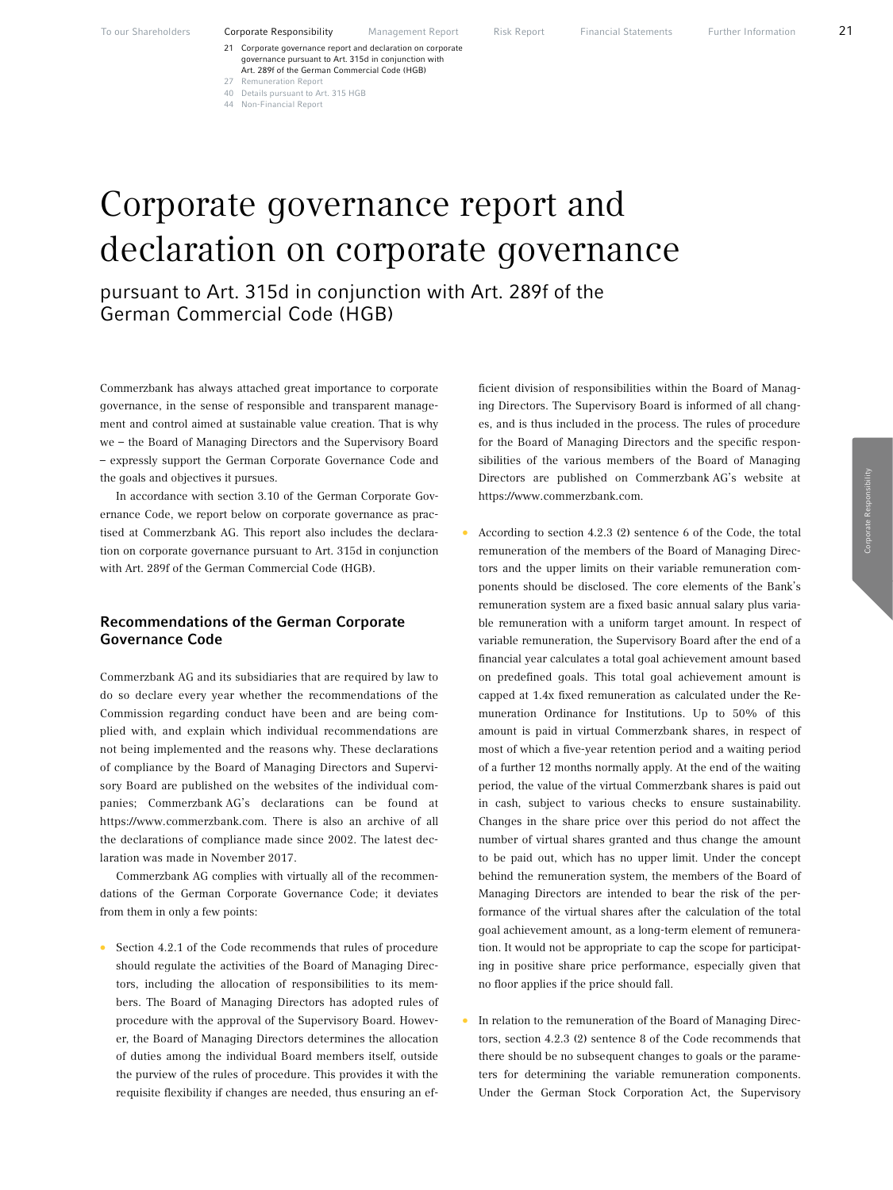- 21 Corporate governance report and declaration on corporate governance pursuant to Art. 315d in conjunction with Art. 289f of the German Commercial Code (HGB) 27 Remuneration Report
- 40 Details pursuant to Art. 315 HGB
- 44 Non-Financial Report

# Corporate governance report and declaration on corporate governance

pursuant to Art. 315d in conjunction with Art. 289f of the German Commercial Code (HGB)

Commerzbank has always attached great importance to corporate governance, in the sense of responsible and transparent management and control aimed at sustainable value creation. That is why we – the Board of Managing Directors and the Supervisory Board – expressly support the German Corporate Governance Code and the goals and objectives it pursues.

In accordance with section 3.10 of the German Corporate Governance Code, we report below on corporate governance as practised at Commerzbank AG. This report also includes the declaration on corporate governance pursuant to Art. 315d in conjunction with Art. 289f of the German Commercial Code (HGB).

# Recommendations of the German Corporate Governance Code

Commerzbank AG and its subsidiaries that are required by law to do so declare every year whether the recommendations of the Commission regarding conduct have been and are being complied with, and explain which individual recommendations are not being implemented and the reasons why. These declarations of compliance by the Board of Managing Directors and Supervisory Board are published on the websites of the individual companies; Commerzbank AG's declarations can be found at https://www.commerzbank.com. There is also an archive of all the declarations of compliance made since 2002. The latest declaration was made in November 2017.

Commerzbank AG complies with virtually all of the recommendations of the German Corporate Governance Code; it deviates from them in only a few points:

• Section 4.2.1 of the Code recommends that rules of procedure should regulate the activities of the Board of Managing Directors, including the allocation of responsibilities to its members. The Board of Managing Directors has adopted rules of procedure with the approval of the Supervisory Board. However, the Board of Managing Directors determines the allocation of duties among the individual Board members itself, outside the purview of the rules of procedure. This provides it with the requisite flexibility if changes are needed, thus ensuring an ef-

ficient division of responsibilities within the Board of Managing Directors. The Supervisory Board is informed of all changes, and is thus included in the process. The rules of procedure for the Board of Managing Directors and the specific responsibilities of the various members of the Board of Managing Directors are published on Commerzbank AG's website at https://www.commerzbank.com.

- According to section 4.2.3 (2) sentence 6 of the Code, the total remuneration of the members of the Board of Managing Directors and the upper limits on their variable remuneration components should be disclosed. The core elements of the Bank's remuneration system are a fixed basic annual salary plus variable remuneration with a uniform target amount. In respect of variable remuneration, the Supervisory Board after the end of a financial year calculates a total goal achievement amount based on predefined goals. This total goal achievement amount is capped at 1.4x fixed remuneration as calculated under the Remuneration Ordinance for Institutions. Up to 50% of this amount is paid in virtual Commerzbank shares, in respect of most of which a five-year retention period and a waiting period of a further 12 months normally apply. At the end of the waiting period, the value of the virtual Commerzbank shares is paid out in cash, subject to various checks to ensure sustainability. Changes in the share price over this period do not affect the number of virtual shares granted and thus change the amount to be paid out, which has no upper limit. Under the concept behind the remuneration system, the members of the Board of Managing Directors are intended to bear the risk of the performance of the virtual shares after the calculation of the total goal achievement amount, as a long-term element of remuneration. It would not be appropriate to cap the scope for participating in positive share price performance, especially given that no floor applies if the price should fall.
- In relation to the remuneration of the Board of Managing Directors, section 4.2.3 (2) sentence 8 of the Code recommends that there should be no subsequent changes to goals or the parameters for determining the variable remuneration components. Under the German Stock Corporation Act, the Supervisory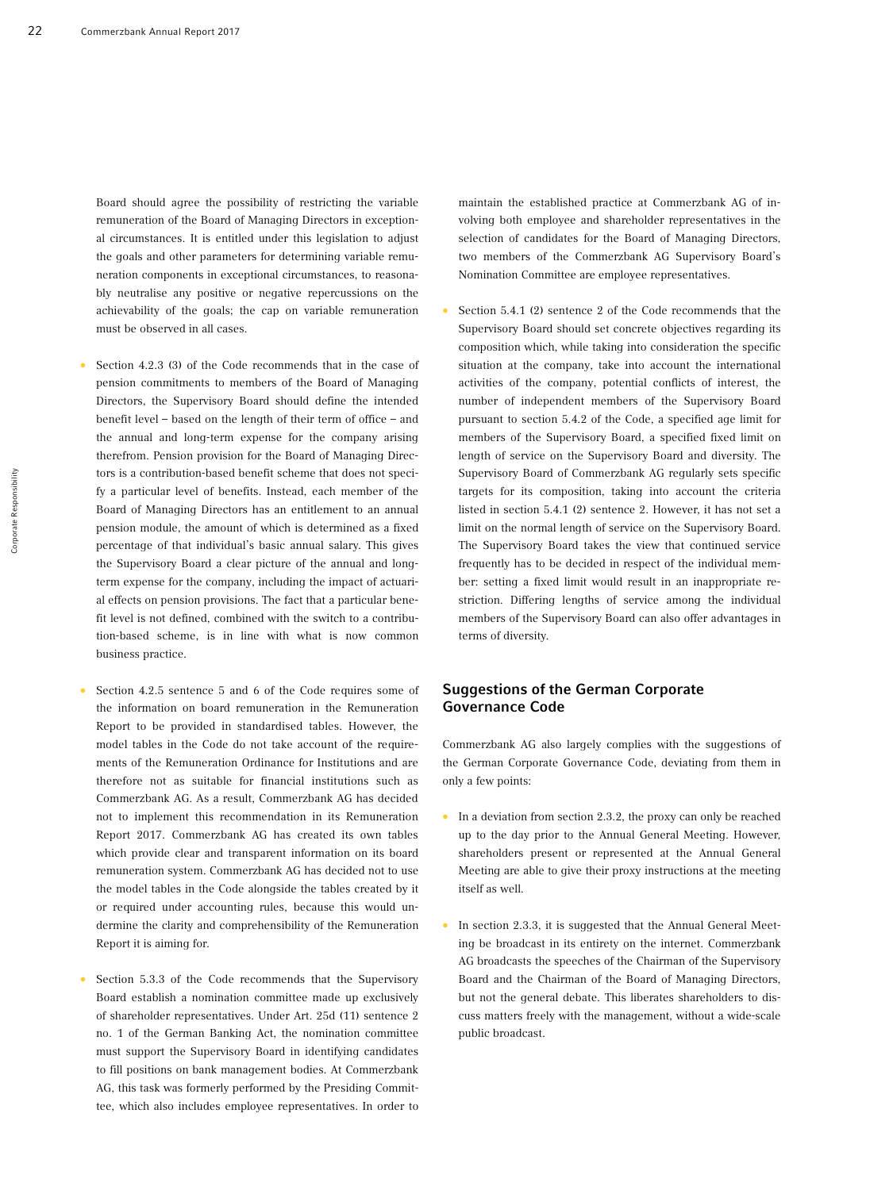Board should agree the possibility of restricting the variable remuneration of the Board of Managing Directors in exceptional circumstances. It is entitled under this legislation to adjust the goals and other parameters for determining variable remuneration components in exceptional circumstances, to reasonably neutralise any positive or negative repercussions on the achievability of the goals; the cap on variable remuneration must be observed in all cases.

- Section 4.2.3 (3) of the Code recommends that in the case of pension commitments to members of the Board of Managing Directors, the Supervisory Board should define the intended benefit level – based on the length of their term of office – and the annual and long-term expense for the company arising therefrom. Pension provision for the Board of Managing Directors is a contribution-based benefit scheme that does not specify a particular level of benefits. Instead, each member of the Board of Managing Directors has an entitlement to an annual pension module, the amount of which is determined as a fixed percentage of that individual's basic annual salary. This gives the Supervisory Board a clear picture of the annual and longterm expense for the company, including the impact of actuarial effects on pension provisions. The fact that a particular benefit level is not defined, combined with the switch to a contribution-based scheme, is in line with what is now common business practice.
- Section 4.2.5 sentence 5 and 6 of the Code requires some of the information on board remuneration in the Remuneration Report to be provided in standardised tables. However, the model tables in the Code do not take account of the requirements of the Remuneration Ordinance for Institutions and are therefore not as suitable for financial institutions such as Commerzbank AG. As a result, Commerzbank AG has decided not to implement this recommendation in its Remuneration Report 2017. Commerzbank AG has created its own tables which provide clear and transparent information on its board remuneration system. Commerzbank AG has decided not to use the model tables in the Code alongside the tables created by it or required under accounting rules, because this would undermine the clarity and comprehensibility of the Remuneration Report it is aiming for.
- Section 5.3.3 of the Code recommends that the Supervisory Board establish a nomination committee made up exclusively of shareholder representatives. Under Art. 25d (11) sentence 2 no. 1 of the German Banking Act, the nomination committee must support the Supervisory Board in identifying candidates to fill positions on bank management bodies. At Commerzbank AG, this task was formerly performed by the Presiding Committee, which also includes employee representatives. In order to

maintain the established practice at Commerzbank AG of involving both employee and shareholder representatives in the selection of candidates for the Board of Managing Directors, two members of the Commerzbank AG Supervisory Board's Nomination Committee are employee representatives.

• Section 5.4.1 (2) sentence 2 of the Code recommends that the Supervisory Board should set concrete objectives regarding its composition which, while taking into consideration the specific situation at the company, take into account the international activities of the company, potential conflicts of interest, the number of independent members of the Supervisory Board pursuant to section 5.4.2 of the Code, a specified age limit for members of the Supervisory Board, a specified fixed limit on length of service on the Supervisory Board and diversity. The Supervisory Board of Commerzbank AG regularly sets specific targets for its composition, taking into account the criteria listed in section 5.4.1 (2) sentence 2. However, it has not set a limit on the normal length of service on the Supervisory Board. The Supervisory Board takes the view that continued service frequently has to be decided in respect of the individual member: setting a fixed limit would result in an inappropriate restriction. Differing lengths of service among the individual members of the Supervisory Board can also offer advantages in terms of diversity.

# Suggestions of the German Corporate Governance Code

Commerzbank AG also largely complies with the suggestions of the German Corporate Governance Code, deviating from them in only a few points:

- In a deviation from section 2.3.2, the proxy can only be reached up to the day prior to the Annual General Meeting. However, shareholders present or represented at the Annual General Meeting are able to give their proxy instructions at the meeting itself as well.
- In section 2.3.3, it is suggested that the Annual General Meeting be broadcast in its entirety on the internet. Commerzbank AG broadcasts the speeches of the Chairman of the Supervisory Board and the Chairman of the Board of Managing Directors, but not the general debate. This liberates shareholders to discuss matters freely with the management, without a wide-scale public broadcast.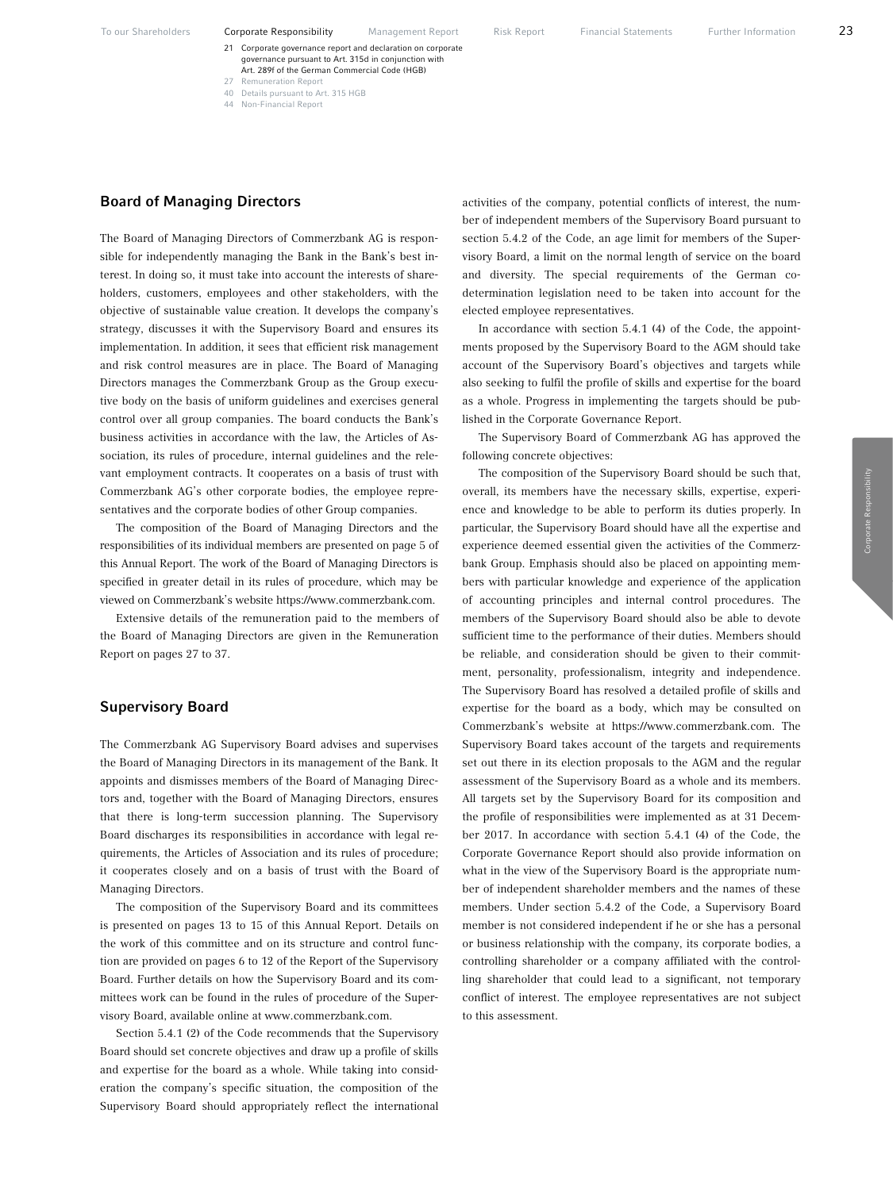- 21 Corporate governance report and declaration on corporate governance pursuant to Art. 315d in conjunction with Art. 289f of the German Commercial Code (HGB) 27 Remuneration Report
- 40 Details pursuant to Art. 315 HGB
- 44 Non-Financial Report

#### Board of Managing Directors

The Board of Managing Directors of Commerzbank AG is responsible for independently managing the Bank in the Bank's best interest. In doing so, it must take into account the interests of shareholders, customers, employees and other stakeholders, with the objective of sustainable value creation. It develops the company's strategy, discusses it with the Supervisory Board and ensures its implementation. In addition, it sees that efficient risk management and risk control measures are in place. The Board of Managing Directors manages the Commerzbank Group as the Group executive body on the basis of uniform guidelines and exercises general control over all group companies. The board conducts the Bank's business activities in accordance with the law, the Articles of Association, its rules of procedure, internal guidelines and the relevant employment contracts. It cooperates on a basis of trust with Commerzbank AG's other corporate bodies, the employee representatives and the corporate bodies of other Group companies.

The composition of the Board of Managing Directors and the responsibilities of its individual members are presented on page 5 of this Annual Report. The work of the Board of Managing Directors is specified in greater detail in its rules of procedure, which may be viewed on Commerzbank's website https://www.commerzbank.com.

Extensive details of the remuneration paid to the members of the Board of Managing Directors are given in the Remuneration Report on pages 27 to 37.

#### Supervisory Board

The Commerzbank AG Supervisory Board advises and supervises the Board of Managing Directors in its management of the Bank. It appoints and dismisses members of the Board of Managing Directors and, together with the Board of Managing Directors, ensures that there is long-term succession planning. The Supervisory Board discharges its responsibilities in accordance with legal requirements, the Articles of Association and its rules of procedure; it cooperates closely and on a basis of trust with the Board of Managing Directors.

The composition of the Supervisory Board and its committees is presented on pages 13 to 15 of this Annual Report. Details on the work of this committee and on its structure and control function are provided on pages 6 to 12 of the Report of the Supervisory Board. Further details on how the Supervisory Board and its committees work can be found in the rules of procedure of the Supervisory Board, available online at www.commerzbank.com.

Section 5.4.1 (2) of the Code recommends that the Supervisory Board should set concrete objectives and draw up a profile of skills and expertise for the board as a whole. While taking into consideration the company's specific situation, the composition of the Supervisory Board should appropriately reflect the international activities of the company, potential conflicts of interest, the number of independent members of the Supervisory Board pursuant to section 5.4.2 of the Code, an age limit for members of the Supervisory Board, a limit on the normal length of service on the board and diversity. The special requirements of the German codetermination legislation need to be taken into account for the elected employee representatives.

In accordance with section 5.4.1 (4) of the Code, the appointments proposed by the Supervisory Board to the AGM should take account of the Supervisory Board's objectives and targets while also seeking to fulfil the profile of skills and expertise for the board as a whole. Progress in implementing the targets should be published in the Corporate Governance Report.

The Supervisory Board of Commerzbank AG has approved the following concrete objectives:

The composition of the Supervisory Board should be such that, overall, its members have the necessary skills, expertise, experience and knowledge to be able to perform its duties properly. In particular, the Supervisory Board should have all the expertise and experience deemed essential given the activities of the Commerzbank Group. Emphasis should also be placed on appointing members with particular knowledge and experience of the application of accounting principles and internal control procedures. The members of the Supervisory Board should also be able to devote sufficient time to the performance of their duties. Members should be reliable, and consideration should be given to their commitment, personality, professionalism, integrity and independence. The Supervisory Board has resolved a detailed profile of skills and expertise for the board as a body, which may be consulted on Commerzbank's website at https://www.commerzbank.com. The Supervisory Board takes account of the targets and requirements set out there in its election proposals to the AGM and the regular assessment of the Supervisory Board as a whole and its members. All targets set by the Supervisory Board for its composition and the profile of responsibilities were implemented as at 31 December 2017. In accordance with section 5.4.1 (4) of the Code, the Corporate Governance Report should also provide information on what in the view of the Supervisory Board is the appropriate number of independent shareholder members and the names of these members. Under section 5.4.2 of the Code, a Supervisory Board member is not considered independent if he or she has a personal or business relationship with the company, its corporate bodies, a controlling shareholder or a company affiliated with the controlling shareholder that could lead to a significant, not temporary conflict of interest. The employee representatives are not subject to this assessment.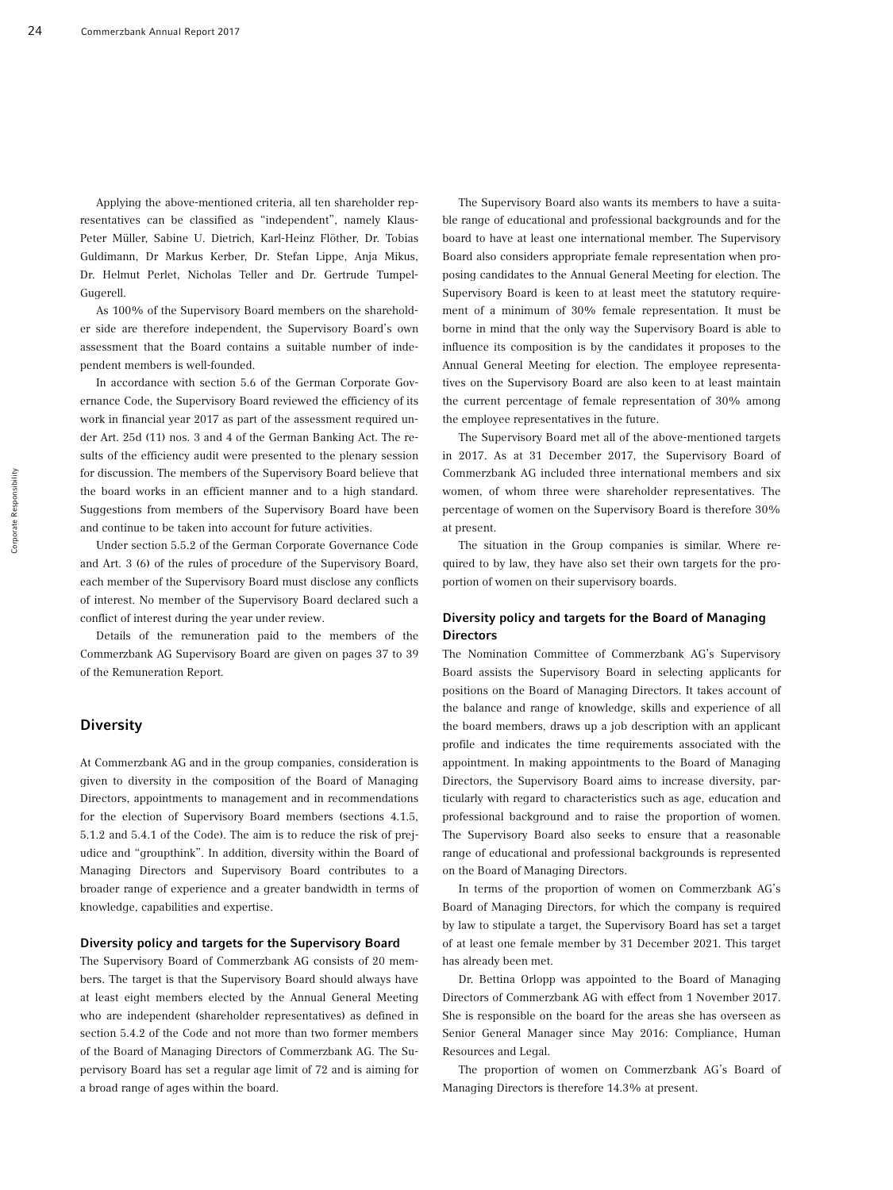Applying the above-mentioned criteria, all ten shareholder representatives can be classified as "independent", namely Klaus-Peter Müller, Sabine U. Dietrich, Karl-Heinz Flöther, Dr. Tobias Guldimann, Dr Markus Kerber, Dr. Stefan Lippe, Anja Mikus, Dr. Helmut Perlet, Nicholas Teller and Dr. Gertrude Tumpel-Gugerell.

As 100% of the Supervisory Board members on the shareholder side are therefore independent, the Supervisory Board's own assessment that the Board contains a suitable number of independent members is well-founded.

In accordance with section 5.6 of the German Corporate Governance Code, the Supervisory Board reviewed the efficiency of its work in financial year 2017 as part of the assessment required under Art. 25d (11) nos. 3 and 4 of the German Banking Act. The results of the efficiency audit were presented to the plenary session for discussion. The members of the Supervisory Board believe that the board works in an efficient manner and to a high standard. Suggestions from members of the Supervisory Board have been and continue to be taken into account for future activities.

Under section 5.5.2 of the German Corporate Governance Code and Art. 3 (6) of the rules of procedure of the Supervisory Board, each member of the Supervisory Board must disclose any conflicts of interest. No member of the Supervisory Board declared such a conflict of interest during the year under review.

Details of the remuneration paid to the members of the Commerzbank AG Supervisory Board are given on pages 37 to 39 of the Remuneration Report.

#### **Diversity**

At Commerzbank AG and in the group companies, consideration is given to diversity in the composition of the Board of Managing Directors, appointments to management and in recommendations for the election of Supervisory Board members (sections 4.1.5, 5.1.2 and 5.4.1 of the Code). The aim is to reduce the risk of prejudice and "groupthink". In addition, diversity within the Board of Managing Directors and Supervisory Board contributes to a broader range of experience and a greater bandwidth in terms of knowledge, capabilities and expertise.

#### Diversity policy and targets for the Supervisory Board

The Supervisory Board of Commerzbank AG consists of 20 members. The target is that the Supervisory Board should always have at least eight members elected by the Annual General Meeting who are independent (shareholder representatives) as defined in section 5.4.2 of the Code and not more than two former members of the Board of Managing Directors of Commerzbank AG. The Supervisory Board has set a regular age limit of 72 and is aiming for a broad range of ages within the board.

The Supervisory Board also wants its members to have a suitable range of educational and professional backgrounds and for the board to have at least one international member. The Supervisory Board also considers appropriate female representation when proposing candidates to the Annual General Meeting for election. The Supervisory Board is keen to at least meet the statutory requirement of a minimum of 30% female representation. It must be borne in mind that the only way the Supervisory Board is able to influence its composition is by the candidates it proposes to the Annual General Meeting for election. The employee representatives on the Supervisory Board are also keen to at least maintain the current percentage of female representation of 30% among the employee representatives in the future.

The Supervisory Board met all of the above-mentioned targets in 2017. As at 31 December 2017, the Supervisory Board of Commerzbank AG included three international members and six women, of whom three were shareholder representatives. The percentage of women on the Supervisory Board is therefore 30% at present.

The situation in the Group companies is similar. Where required to by law, they have also set their own targets for the proportion of women on their supervisory boards.

#### Diversity policy and targets for the Board of Managing **Directors**

The Nomination Committee of Commerzbank AG's Supervisory Board assists the Supervisory Board in selecting applicants for positions on the Board of Managing Directors. It takes account of the balance and range of knowledge, skills and experience of all the board members, draws up a job description with an applicant profile and indicates the time requirements associated with the appointment. In making appointments to the Board of Managing Directors, the Supervisory Board aims to increase diversity, particularly with regard to characteristics such as age, education and professional background and to raise the proportion of women. The Supervisory Board also seeks to ensure that a reasonable range of educational and professional backgrounds is represented on the Board of Managing Directors.

In terms of the proportion of women on Commerzbank AG's Board of Managing Directors, for which the company is required by law to stipulate a target, the Supervisory Board has set a target of at least one female member by 31 December 2021. This target has already been met.

Dr. Bettina Orlopp was appointed to the Board of Managing Directors of Commerzbank AG with effect from 1 November 2017. She is responsible on the board for the areas she has overseen as Senior General Manager since May 2016: Compliance, Human Resources and Legal.

The proportion of women on Commerzbank AG's Board of Managing Directors is therefore 14.3% at present.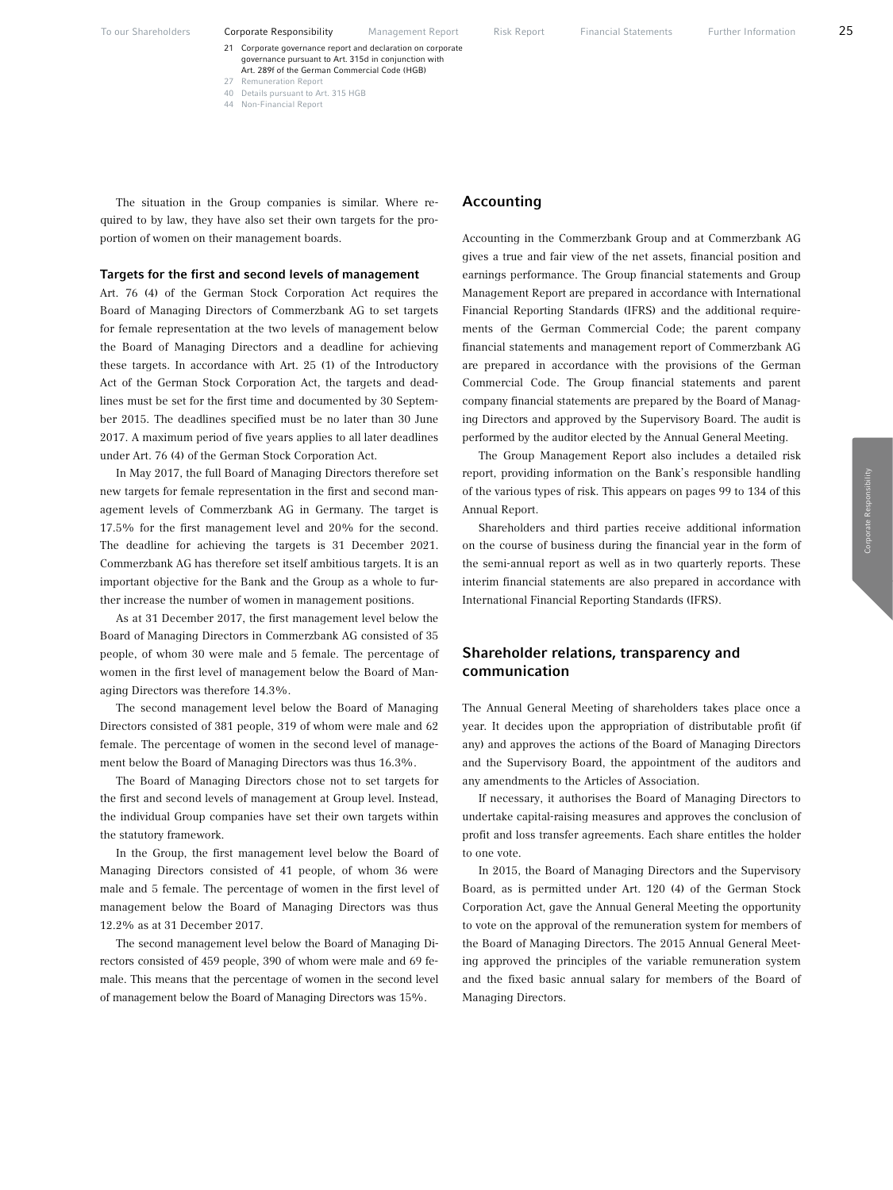- 21 Corporate governance report and declaration on corporate governance pursuant to Art. 315d in conjunction with Art. 289f of the German Commercial Code (HGB) 27 Remuneration Report
- 40 Details pursuant to Art. 315 HGB
- 44 Non-Financial Report

The situation in the Group companies is similar. Where required to by law, they have also set their own targets for the proportion of women on their management boards.

#### Targets for the first and second levels of management

Art. 76 (4) of the German Stock Corporation Act requires the Board of Managing Directors of Commerzbank AG to set targets for female representation at the two levels of management below the Board of Managing Directors and a deadline for achieving these targets. In accordance with Art. 25 (1) of the Introductory Act of the German Stock Corporation Act, the targets and deadlines must be set for the first time and documented by 30 September 2015. The deadlines specified must be no later than 30 June 2017. A maximum period of five years applies to all later deadlines under Art. 76 (4) of the German Stock Corporation Act.

In May 2017, the full Board of Managing Directors therefore set new targets for female representation in the first and second management levels of Commerzbank AG in Germany. The target is 17.5% for the first management level and 20% for the second. The deadline for achieving the targets is 31 December 2021. Commerzbank AG has therefore set itself ambitious targets. It is an important objective for the Bank and the Group as a whole to further increase the number of women in management positions.

As at 31 December 2017, the first management level below the Board of Managing Directors in Commerzbank AG consisted of 35 people, of whom 30 were male and 5 female. The percentage of women in the first level of management below the Board of Managing Directors was therefore 14.3%.

The second management level below the Board of Managing Directors consisted of 381 people, 319 of whom were male and 62 female. The percentage of women in the second level of management below the Board of Managing Directors was thus 16.3%.

The Board of Managing Directors chose not to set targets for the first and second levels of management at Group level. Instead, the individual Group companies have set their own targets within the statutory framework.

In the Group, the first management level below the Board of Managing Directors consisted of 41 people, of whom 36 were male and 5 female. The percentage of women in the first level of management below the Board of Managing Directors was thus 12.2% as at 31 December 2017.

The second management level below the Board of Managing Directors consisted of 459 people, 390 of whom were male and 69 female. This means that the percentage of women in the second level of management below the Board of Managing Directors was 15%.

#### Accounting

Accounting in the Commerzbank Group and at Commerzbank AG gives a true and fair view of the net assets, financial position and earnings performance. The Group financial statements and Group Management Report are prepared in accordance with International Financial Reporting Standards (IFRS) and the additional requirements of the German Commercial Code; the parent company financial statements and management report of Commerzbank AG are prepared in accordance with the provisions of the German Commercial Code. The Group financial statements and parent company financial statements are prepared by the Board of Managing Directors and approved by the Supervisory Board. The audit is performed by the auditor elected by the Annual General Meeting.

The Group Management Report also includes a detailed risk report, providing information on the Bank's responsible handling of the various types of risk. This appears on pages 99 to 134 of this Annual Report.

Shareholders and third parties receive additional information on the course of business during the financial year in the form of the semi-annual report as well as in two quarterly reports. These interim financial statements are also prepared in accordance with International Financial Reporting Standards (IFRS).

# Shareholder relations, transparency and communication

The Annual General Meeting of shareholders takes place once a year. It decides upon the appropriation of distributable profit (if any) and approves the actions of the Board of Managing Directors and the Supervisory Board, the appointment of the auditors and any amendments to the Articles of Association.

If necessary, it authorises the Board of Managing Directors to undertake capital-raising measures and approves the conclusion of profit and loss transfer agreements. Each share entitles the holder to one vote.

In 2015, the Board of Managing Directors and the Supervisory Board, as is permitted under Art. 120 (4) of the German Stock Corporation Act, gave the Annual General Meeting the opportunity to vote on the approval of the remuneration system for members of the Board of Managing Directors. The 2015 Annual General Meeting approved the principles of the variable remuneration system and the fixed basic annual salary for members of the Board of Managing Directors.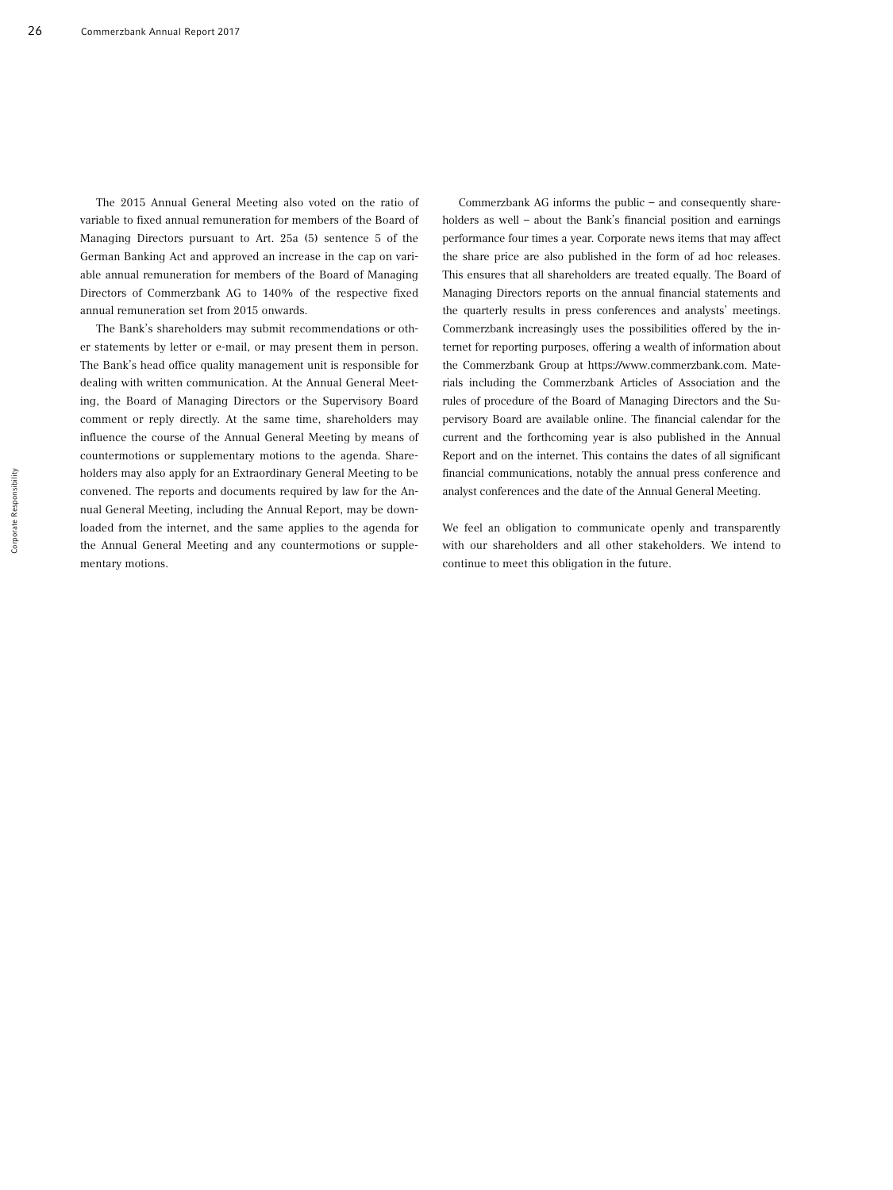The 2015 Annual General Meeting also voted on the ratio of variable to fixed annual remuneration for members of the Board of Managing Directors pursuant to Art. 25a (5) sentence 5 of the German Banking Act and approved an increase in the cap on variable annual remuneration for members of the Board of Managing Directors of Commerzbank AG to 140% of the respective fixed annual remuneration set from 2015 onwards.

The Bank's shareholders may submit recommendations or other statements by letter or e-mail, or may present them in person. The Bank's head office quality management unit is responsible for dealing with written communication. At the Annual General Meeting, the Board of Managing Directors or the Supervisory Board comment or reply directly. At the same time, shareholders may influence the course of the Annual General Meeting by means of countermotions or supplementary motions to the agenda. Shareholders may also apply for an Extraordinary General Meeting to be convened. The reports and documents required by law for the Annual General Meeting, including the Annual Report, may be downloaded from the internet, and the same applies to the agenda for the Annual General Meeting and any countermotions or supplementary motions.

Commerzbank AG informs the public – and consequently shareholders as well – about the Bank's financial position and earnings performance four times a year. Corporate news items that may affect the share price are also published in the form of ad hoc releases. This ensures that all shareholders are treated equally. The Board of Managing Directors reports on the annual financial statements and the quarterly results in press conferences and analysts' meetings. Commerzbank increasingly uses the possibilities offered by the internet for reporting purposes, offering a wealth of information about the Commerzbank Group at https://www.commerzbank.com. Materials including the Commerzbank Articles of Association and the rules of procedure of the Board of Managing Directors and the Supervisory Board are available online. The financial calendar for the current and the forthcoming year is also published in the Annual Report and on the internet. This contains the dates of all significant financial communications, notably the annual press conference and analyst conferences and the date of the Annual General Meeting.

We feel an obligation to communicate openly and transparently with our shareholders and all other stakeholders. We intend to continue to meet this obligation in the future.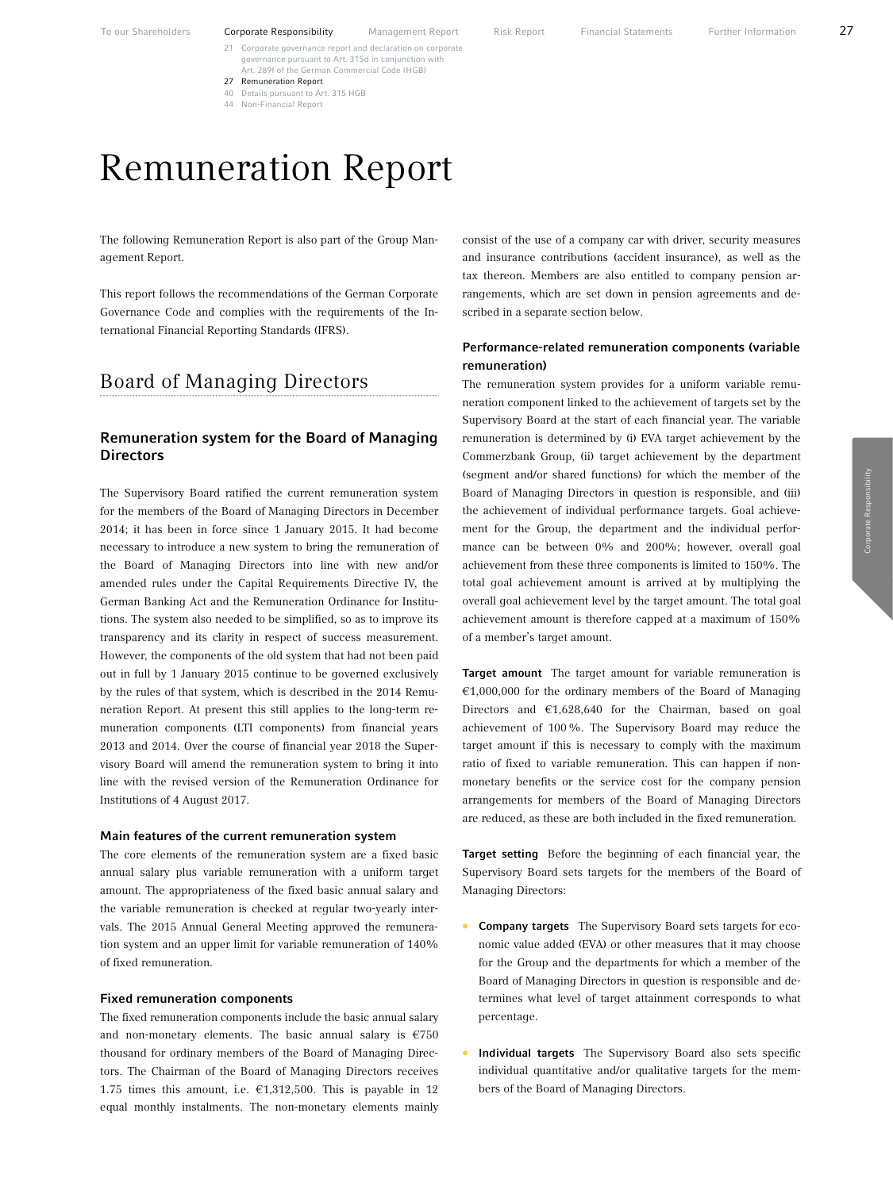- 21 Corporate governance report and declaration on corporate governance pursuant to Art. 315d in conjunction with Art. 289f of the German Commercial Code (HGB)
- 27 Remuneration Report 40 Details pursuant to Art. 315 HGB
- 44 Non-Financial Report
- Remuneration Report

The following Remuneration Report is also part of the Group Management Report.

This report follows the recommendations of the German Corporate Governance Code and complies with the requirements of the International Financial Reporting Standards (IFRS).

# Board of Managing Directors

# Remuneration system for the Board of Managing **Directors**

The Supervisory Board ratified the current remuneration system for the members of the Board of Managing Directors in December 2014; it has been in force since 1 January 2015. It had become necessary to introduce a new system to bring the remuneration of the Board of Managing Directors into line with new and/or amended rules under the Capital Requirements Directive IV, the German Banking Act and the Remuneration Ordinance for Institutions. The system also needed to be simplified, so as to improve its transparency and its clarity in respect of success measurement. However, the components of the old system that had not been paid out in full by 1 January 2015 continue to be governed exclusively by the rules of that system, which is described in the 2014 Remuneration Report. At present this still applies to the long-term remuneration components (LTI components) from financial years 2013 and 2014. Over the course of financial year 2018 the Supervisory Board will amend the remuneration system to bring it into line with the revised version of the Remuneration Ordinance for Institutions of 4 August 2017.

#### Main features of the current remuneration system

The core elements of the remuneration system are a fixed basic annual salary plus variable remuneration with a uniform target amount. The appropriateness of the fixed basic annual salary and the variable remuneration is checked at regular two-yearly intervals. The 2015 Annual General Meeting approved the remuneration system and an upper limit for variable remuneration of 140% of fixed remuneration.

#### Fixed remuneration components

The fixed remuneration components include the basic annual salary and non-monetary elements. The basic annual salary is  $\epsilon$ 750 thousand for ordinary members of the Board of Managing Directors. The Chairman of the Board of Managing Directors receives 1.75 times this amount, i.e.  $\epsilon$ 1,312,500. This is payable in 12 equal monthly instalments. The non-monetary elements mainly consist of the use of a company car with driver, security measures and insurance contributions (accident insurance), as well as the tax thereon. Members are also entitled to company pension arrangements, which are set down in pension agreements and described in a separate section below.

#### Performance-related remuneration components (variable remuneration)

The remuneration system provides for a uniform variable remuneration component linked to the achievement of targets set by the Supervisory Board at the start of each financial year. The variable remuneration is determined by (i) EVA target achievement by the Commerzbank Group, (ii) target achievement by the department (segment and/or shared functions) for which the member of the Board of Managing Directors in question is responsible, and (iii) the achievement of individual performance targets. Goal achievement for the Group, the department and the individual performance can be between 0% and 200%; however, overall goal achievement from these three components is limited to 150%. The total goal achievement amount is arrived at by multiplying the overall goal achievement level by the target amount. The total goal achievement amount is therefore capped at a maximum of 150% of a member's target amount.

Target amount The target amount for variable remuneration is  $€1,000,000$  for the ordinary members of the Board of Managing Directors and  $£1,628,640$  for the Chairman, based on goal achievement of 100%. The Supervisory Board may reduce the target amount if this is necessary to comply with the maximum ratio of fixed to variable remuneration. This can happen if nonmonetary benefits or the service cost for the company pension arrangements for members of the Board of Managing Directors are reduced, as these are both included in the fixed remuneration.

Target setting Before the beginning of each financial year, the Supervisory Board sets targets for the members of the Board of Managing Directors:

- Company targets The Supervisory Board sets targets for economic value added (EVA) or other measures that it may choose for the Group and the departments for which a member of the Board of Managing Directors in question is responsible and determines what level of target attainment corresponds to what percentage.
- Individual targets The Supervisory Board also sets specific individual quantitative and/or qualitative targets for the members of the Board of Managing Directors.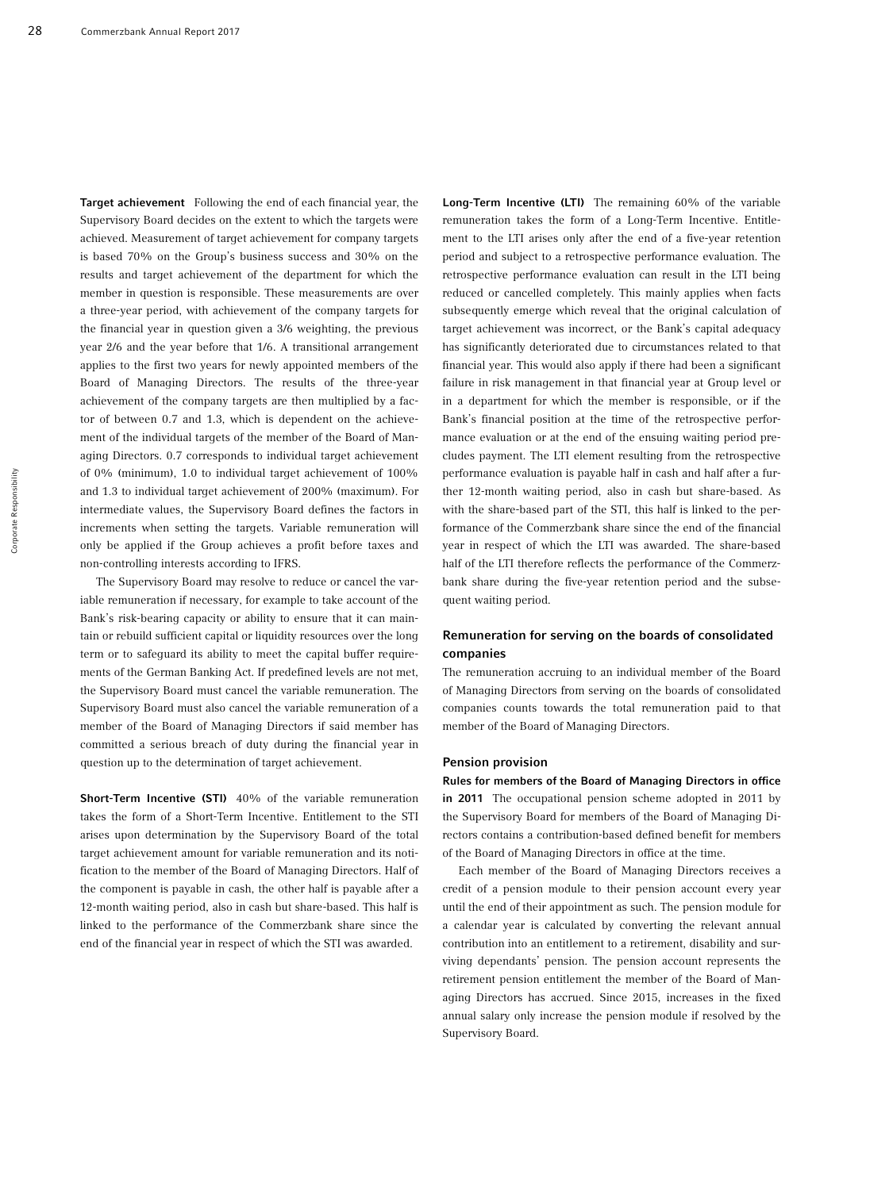Target achievement Following the end of each financial year, the Supervisory Board decides on the extent to which the targets were achieved. Measurement of target achievement for company targets is based 70% on the Group's business success and 30% on the results and target achievement of the department for which the member in question is responsible. These measurements are over a three-year period, with achievement of the company targets for the financial year in question given a 3/6 weighting, the previous year 2/6 and the year before that 1/6. A transitional arrangement applies to the first two years for newly appointed members of the Board of Managing Directors. The results of the three-year achievement of the company targets are then multiplied by a factor of between 0.7 and 1.3, which is dependent on the achievement of the individual targets of the member of the Board of Managing Directors. 0.7 corresponds to individual target achievement of 0% (minimum), 1.0 to individual target achievement of 100% and 1.3 to individual target achievement of 200% (maximum). For intermediate values, the Supervisory Board defines the factors in increments when setting the targets. Variable remuneration will only be applied if the Group achieves a profit before taxes and non-controlling interests according to IFRS.

The Supervisory Board may resolve to reduce or cancel the variable remuneration if necessary, for example to take account of the Bank's risk-bearing capacity or ability to ensure that it can maintain or rebuild sufficient capital or liquidity resources over the long term or to safeguard its ability to meet the capital buffer requirements of the German Banking Act. If predefined levels are not met, the Supervisory Board must cancel the variable remuneration. The Supervisory Board must also cancel the variable remuneration of a member of the Board of Managing Directors if said member has committed a serious breach of duty during the financial year in question up to the determination of target achievement.

Short-Term Incentive (STI) 40% of the variable remuneration takes the form of a Short-Term Incentive. Entitlement to the STI arises upon determination by the Supervisory Board of the total target achievement amount for variable remuneration and its notification to the member of the Board of Managing Directors. Half of the component is payable in cash, the other half is payable after a 12-month waiting period, also in cash but share-based. This half is linked to the performance of the Commerzbank share since the end of the financial year in respect of which the STI was awarded.

Long-Term Incentive (LTI) The remaining 60% of the variable remuneration takes the form of a Long-Term Incentive. Entitlement to the LTI arises only after the end of a five-year retention period and subject to a retrospective performance evaluation. The retrospective performance evaluation can result in the LTI being reduced or cancelled completely. This mainly applies when facts subsequently emerge which reveal that the original calculation of target achievement was incorrect, or the Bank's capital adequacy has significantly deteriorated due to circumstances related to that financial year. This would also apply if there had been a significant failure in risk management in that financial year at Group level or in a department for which the member is responsible, or if the Bank's financial position at the time of the retrospective performance evaluation or at the end of the ensuing waiting period precludes payment. The LTI element resulting from the retrospective performance evaluation is payable half in cash and half after a further 12-month waiting period, also in cash but share-based. As with the share-based part of the STI, this half is linked to the performance of the Commerzbank share since the end of the financial year in respect of which the LTI was awarded. The share-based half of the LTI therefore reflects the performance of the Commerzbank share during the five-year retention period and the subsequent waiting period.

## Remuneration for serving on the boards of consolidated companies

The remuneration accruing to an individual member of the Board of Managing Directors from serving on the boards of consolidated companies counts towards the total remuneration paid to that member of the Board of Managing Directors.

#### Pension provision

Rules for members of the Board of Managing Directors in office in 2011 The occupational pension scheme adopted in 2011 by the Supervisory Board for members of the Board of Managing Directors contains a contribution-based defined benefit for members of the Board of Managing Directors in office at the time.

Each member of the Board of Managing Directors receives a credit of a pension module to their pension account every year until the end of their appointment as such. The pension module for a calendar year is calculated by converting the relevant annual contribution into an entitlement to a retirement, disability and surviving dependants' pension. The pension account represents the retirement pension entitlement the member of the Board of Managing Directors has accrued. Since 2015, increases in the fixed annual salary only increase the pension module if resolved by the Supervisory Board.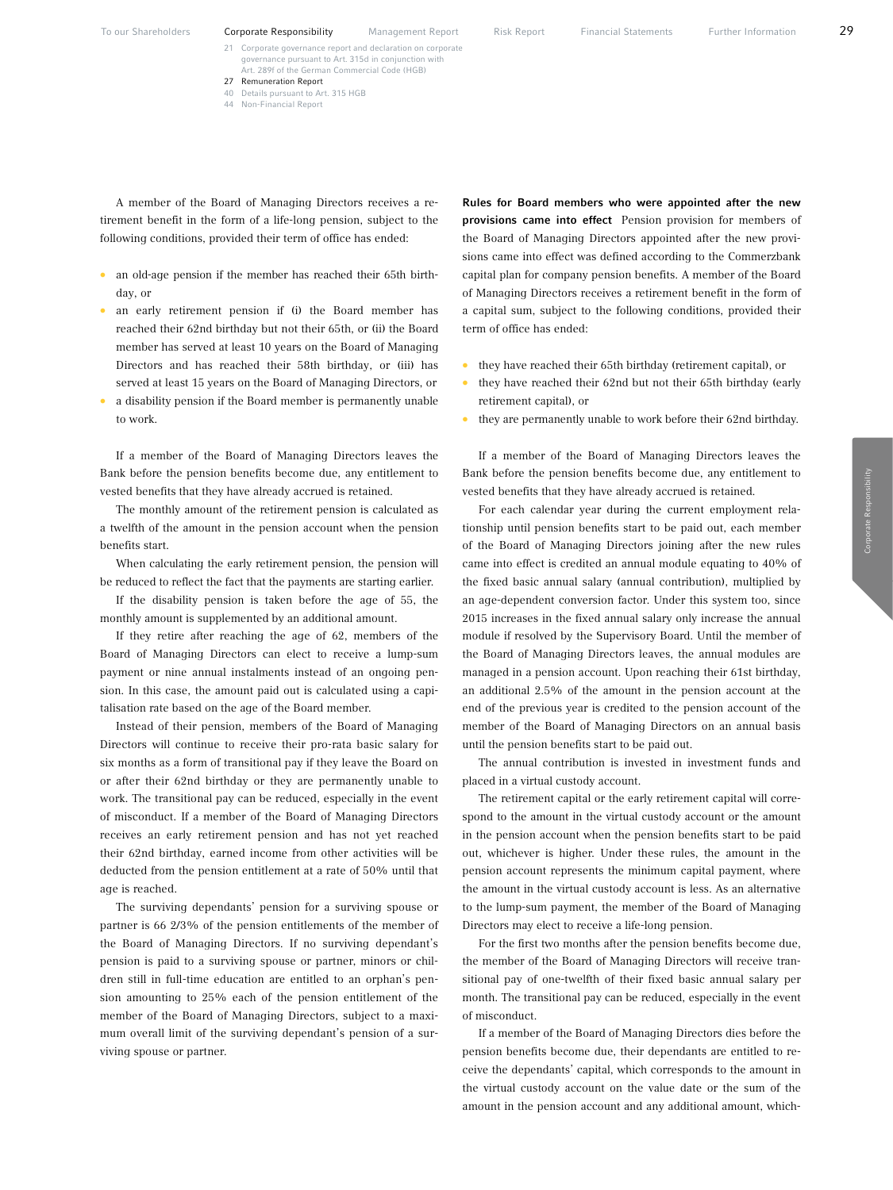- 21 Corporate governance report and declaration on corporate governance pursuant to Art. 315d in conjunct Art. 289f of the German Commercial Code (HGB)
- 27 Remuneration Report 40 Details pursuant to Art. 315 HGB
- 44 Non-Financial Report

A member of the Board of Managing Directors receives a retirement benefit in the form of a life-long pension, subject to the following conditions, provided their term of office has ended:

- an old-age pension if the member has reached their 65th birthday, or
- an early retirement pension if (i) the Board member has reached their 62nd birthday but not their 65th, or (ii) the Board member has served at least 10 years on the Board of Managing Directors and has reached their 58th birthday, or (iii) has served at least 15 years on the Board of Managing Directors, or
- a disability pension if the Board member is permanently unable to work.

If a member of the Board of Managing Directors leaves the Bank before the pension benefits become due, any entitlement to vested benefits that they have already accrued is retained.

The monthly amount of the retirement pension is calculated as a twelfth of the amount in the pension account when the pension benefits start.

When calculating the early retirement pension, the pension will be reduced to reflect the fact that the payments are starting earlier.

If the disability pension is taken before the age of 55, the monthly amount is supplemented by an additional amount.

If they retire after reaching the age of 62, members of the Board of Managing Directors can elect to receive a lump-sum payment or nine annual instalments instead of an ongoing pension. In this case, the amount paid out is calculated using a capitalisation rate based on the age of the Board member.

Instead of their pension, members of the Board of Managing Directors will continue to receive their pro-rata basic salary for six months as a form of transitional pay if they leave the Board on or after their 62nd birthday or they are permanently unable to work. The transitional pay can be reduced, especially in the event of misconduct. If a member of the Board of Managing Directors receives an early retirement pension and has not yet reached their 62nd birthday, earned income from other activities will be deducted from the pension entitlement at a rate of 50% until that age is reached.

The surviving dependants' pension for a surviving spouse or partner is 66 2/3% of the pension entitlements of the member of the Board of Managing Directors. If no surviving dependant's pension is paid to a surviving spouse or partner, minors or children still in full-time education are entitled to an orphan's pension amounting to 25% each of the pension entitlement of the member of the Board of Managing Directors, subject to a maximum overall limit of the surviving dependant's pension of a surviving spouse or partner.

Rules for Board members who were appointed after the new provisions came into effect Pension provision for members of the Board of Managing Directors appointed after the new provisions came into effect was defined according to the Commerzbank capital plan for company pension benefits. A member of the Board of Managing Directors receives a retirement benefit in the form of a capital sum, subject to the following conditions, provided their term of office has ended:

- they have reached their 65th birthday (retirement capital), or
- they have reached their 62nd but not their 65th birthday (early retirement capital), or
- they are permanently unable to work before their 62nd birthday.

If a member of the Board of Managing Directors leaves the Bank before the pension benefits become due, any entitlement to vested benefits that they have already accrued is retained.

For each calendar year during the current employment relationship until pension benefits start to be paid out, each member of the Board of Managing Directors joining after the new rules came into effect is credited an annual module equating to 40% of the fixed basic annual salary (annual contribution), multiplied by an age-dependent conversion factor. Under this system too, since 2015 increases in the fixed annual salary only increase the annual module if resolved by the Supervisory Board. Until the member of the Board of Managing Directors leaves, the annual modules are managed in a pension account. Upon reaching their 61st birthday, an additional 2.5% of the amount in the pension account at the end of the previous year is credited to the pension account of the member of the Board of Managing Directors on an annual basis until the pension benefits start to be paid out.

The annual contribution is invested in investment funds and placed in a virtual custody account.

The retirement capital or the early retirement capital will correspond to the amount in the virtual custody account or the amount in the pension account when the pension benefits start to be paid out, whichever is higher. Under these rules, the amount in the pension account represents the minimum capital payment, where the amount in the virtual custody account is less. As an alternative to the lump-sum payment, the member of the Board of Managing Directors may elect to receive a life-long pension.

For the first two months after the pension benefits become due, the member of the Board of Managing Directors will receive transitional pay of one-twelfth of their fixed basic annual salary per month. The transitional pay can be reduced, especially in the event of misconduct.

If a member of the Board of Managing Directors dies before the pension benefits become due, their dependants are entitled to receive the dependants' capital, which corresponds to the amount in the virtual custody account on the value date or the sum of the amount in the pension account and any additional amount, which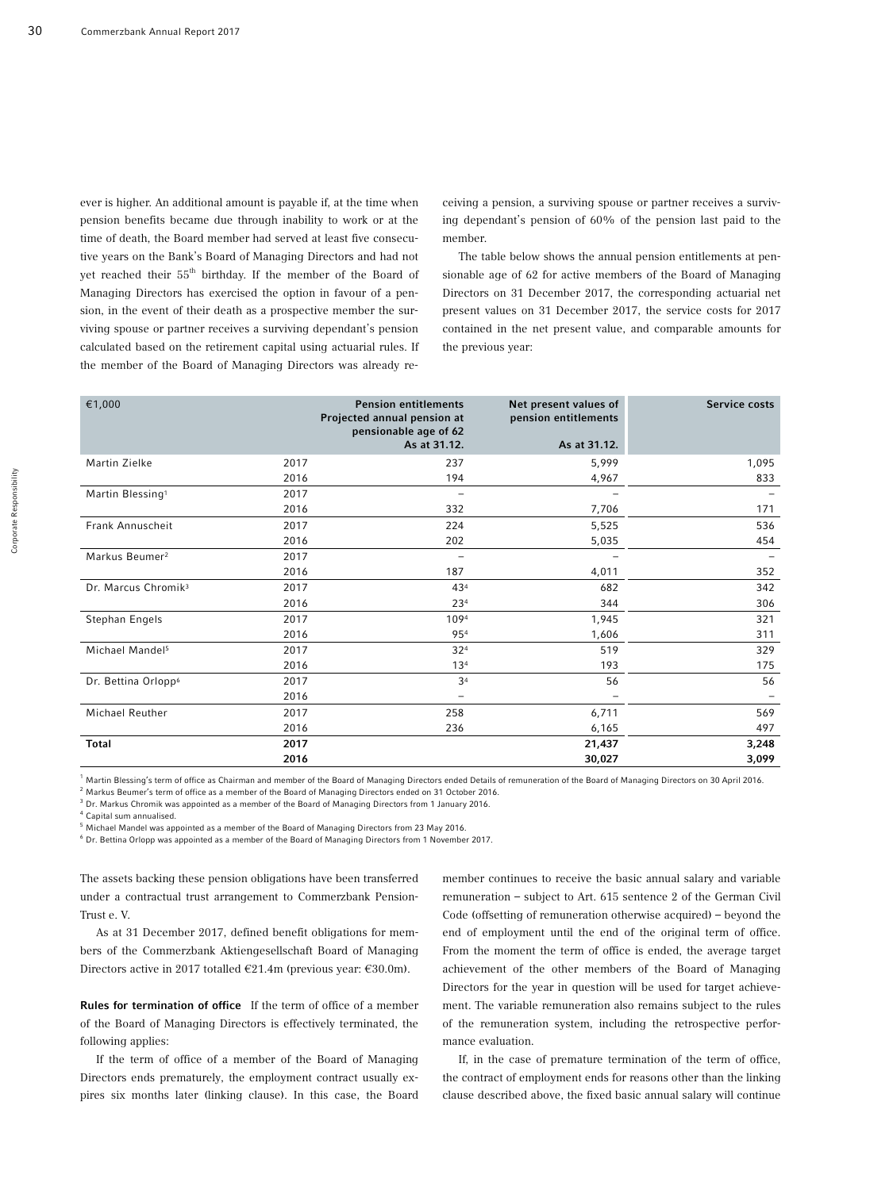ever is higher. An additional amount is payable if, at the time when pension benefits became due through inability to work or at the time of death, the Board member had served at least five consecutive years on the Bank's Board of Managing Directors and had not yet reached their 55<sup>th</sup> birthday. If the member of the Board of Managing Directors has exercised the option in favour of a pension, in the event of their death as a prospective member the surviving spouse or partner receives a surviving dependant's pension calculated based on the retirement capital using actuarial rules. If the member of the Board of Managing Directors was already receiving a pension, a surviving spouse or partner receives a surviving dependant's pension of 60% of the pension last paid to the member.

The table below shows the annual pension entitlements at pensionable age of 62 for active members of the Board of Managing Directors on 31 December 2017, the corresponding actuarial net present values on 31 December 2017, the service costs for 2017 contained in the net present value, and comparable amounts for the previous year:

| €1,000                          |      | <b>Pension entitlements</b> | Net present values of | Service costs |
|---------------------------------|------|-----------------------------|-----------------------|---------------|
|                                 |      | Projected annual pension at | pension entitlements  |               |
|                                 |      | pensionable age of 62       |                       |               |
|                                 |      | As at 31.12.                | As at 31.12.          |               |
| Martin Zielke                   | 2017 | 237                         | 5,999                 | 1,095         |
|                                 | 2016 | 194                         | 4,967                 | 833           |
| Martin Blessing <sup>1</sup>    | 2017 |                             |                       |               |
|                                 | 2016 | 332                         | 7,706                 | 171           |
| Frank Annuscheit                | 2017 | 224                         | 5,525                 | 536           |
|                                 | 2016 | 202                         | 5,035                 | 454           |
| Markus Beumer <sup>2</sup>      | 2017 |                             |                       |               |
|                                 | 2016 | 187                         | 4,011                 | 352           |
| Dr. Marcus Chromik <sup>3</sup> | 2017 | 434                         | 682                   | 342           |
|                                 | 2016 | 234                         | 344                   | 306           |
| Stephan Engels                  | 2017 | 1094                        | 1,945                 | 321           |
|                                 | 2016 | 954                         | 1,606                 | 311           |
| Michael Mandel <sup>5</sup>     | 2017 | 324                         | 519                   | 329           |
|                                 | 2016 | 13 <sup>4</sup>             | 193                   | 175           |
| Dr. Bettina Orlopp <sup>6</sup> | 2017 | 3 <sup>4</sup>              | 56                    | 56            |
|                                 | 2016 |                             |                       |               |
| Michael Reuther                 | 2017 | 258                         | 6,711                 | 569           |
|                                 | 2016 | 236                         | 6,165                 | 497           |
| <b>Total</b>                    | 2017 |                             | 21,437                | 3,248         |
|                                 | 2016 |                             | 30,027                | 3,099         |

 $^1$  Martin Blessing's term of office as Chairman and member of the Board of Managing Directors ended Details of remuneration of the Board of Managing Directors on 30 April 2016.

 $^2$  Markus Beumer's term of office as a member of the Board of Managing Directors ended on 31 October 2016.

 $3$  Dr. Markus Chromik was appointed as a member of the Board of Managing Directors from 1 January 2016.

<sup>4</sup>Capital sum annualised.

 $<sup>5</sup>$  Michael Mandel was appointed as a member of the Board of Managing Directors from 23 May 2016.</sup>

 $^6$  Dr. Bettina Orlopp was appointed as a member of the Board of Managing Directors from 1 November 2017.

The assets backing these pension obligations have been transferred under a contractual trust arrangement to Commerzbank Pension-Trust e. V.

As at 31 December 2017, defined benefit obligations for members of the Commerzbank Aktiengesellschaft Board of Managing Directors active in 2017 totalled  $\epsilon$ 21.4m (previous year:  $\epsilon$ 30.0m).

Rules for termination of office If the term of office of a member of the Board of Managing Directors is effectively terminated, the following applies:

If the term of office of a member of the Board of Managing Directors ends prematurely, the employment contract usually expires six months later (linking clause). In this case, the Board member continues to receive the basic annual salary and variable remuneration – subject to Art. 615 sentence 2 of the German Civil Code (offsetting of remuneration otherwise acquired) – beyond the end of employment until the end of the original term of office. From the moment the term of office is ended, the average target achievement of the other members of the Board of Managing Directors for the year in question will be used for target achievement. The variable remuneration also remains subject to the rules of the remuneration system, including the retrospective performance evaluation.

If, in the case of premature termination of the term of office, the contract of employment ends for reasons other than the linking clause described above, the fixed basic annual salary will continue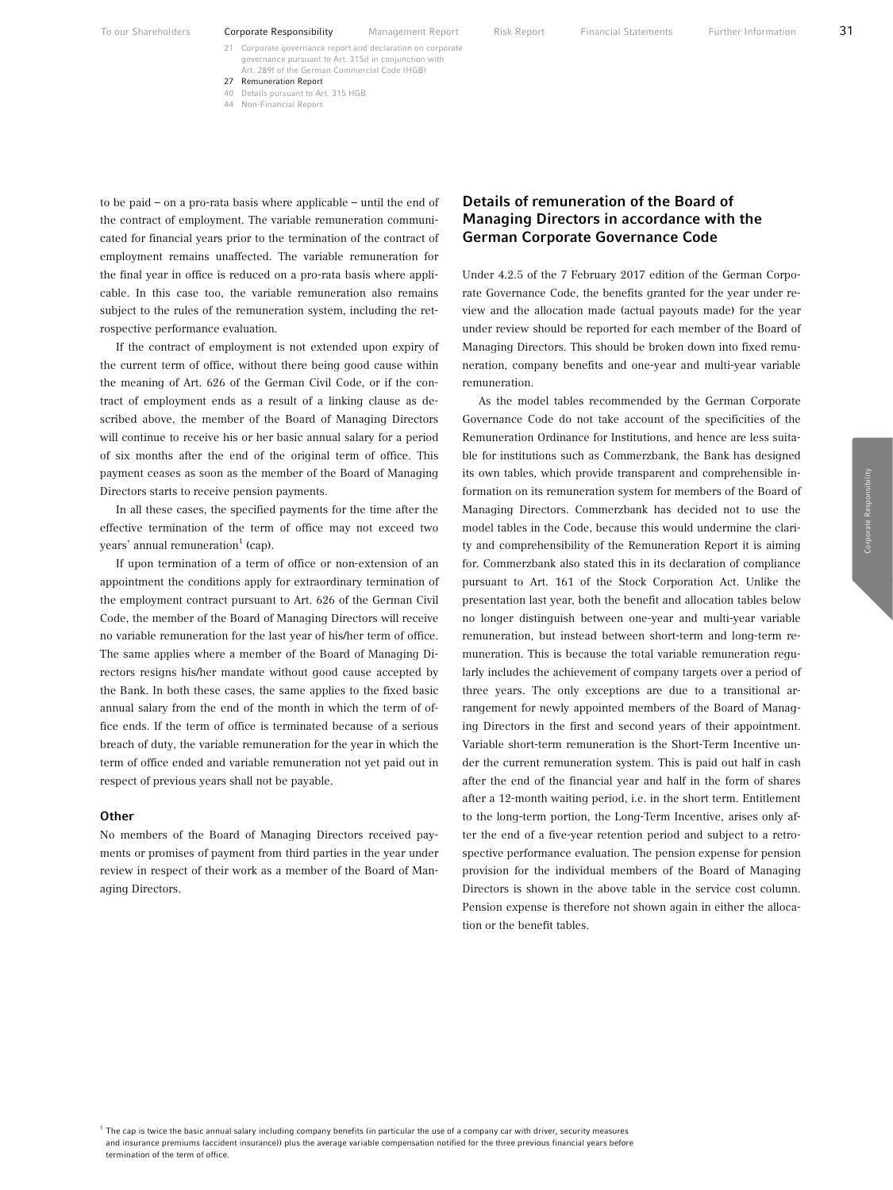- 21 Corporate governance report and declaration on corporate governance pursuant to Art. 315d in conjunct Art. 289f of the German Commercial Code (HGB)
- 27 Remuneration Report 40 Details pursuant to Art. 315 HGB
- 
- 44 Non-Financial Report

to be paid – on a pro-rata basis where applicable – until the end of the contract of employment. The variable remuneration communicated for financial years prior to the termination of the contract of employment remains unaffected. The variable remuneration for the final year in office is reduced on a pro-rata basis where applicable. In this case too, the variable remuneration also remains subject to the rules of the remuneration system, including the retrospective performance evaluation.

If the contract of employment is not extended upon expiry of the current term of office, without there being good cause within the meaning of Art. 626 of the German Civil Code, or if the contract of employment ends as a result of a linking clause as described above, the member of the Board of Managing Directors will continue to receive his or her basic annual salary for a period of six months after the end of the original term of office. This payment ceases as soon as the member of the Board of Managing Directors starts to receive pension payments.

In all these cases, the specified payments for the time after the effective termination of the term of office may not exceed two years' annual remuneration $^1$  (cap).

If upon termination of a term of office or non-extension of an appointment the conditions apply for extraordinary termination of the employment contract pursuant to Art. 626 of the German Civil Code, the member of the Board of Managing Directors will receive no variable remuneration for the last year of his/her term of office. The same applies where a member of the Board of Managing Directors resigns his/her mandate without good cause accepted by the Bank. In both these cases, the same applies to the fixed basic annual salary from the end of the month in which the term of office ends. If the term of office is terminated because of a serious breach of duty, the variable remuneration for the year in which the term of office ended and variable remuneration not yet paid out in respect of previous years shall not be payable.

#### **Other**

No members of the Board of Managing Directors received payments or promises of payment from third parties in the year under review in respect of their work as a member of the Board of Managing Directors.

# Details of remuneration of the Board of Managing Directors in accordance with the German Corporate Governance Code

Under 4.2.5 of the 7 February 2017 edition of the German Corporate Governance Code, the benefits granted for the year under review and the allocation made (actual payouts made) for the year under review should be reported for each member of the Board of Managing Directors. This should be broken down into fixed remuneration, company benefits and one-year and multi-year variable remuneration.

As the model tables recommended by the German Corporate Governance Code do not take account of the specificities of the Remuneration Ordinance for Institutions, and hence are less suitable for institutions such as Commerzbank, the Bank has designed its own tables, which provide transparent and comprehensible information on its remuneration system for members of the Board of Managing Directors. Commerzbank has decided not to use the model tables in the Code, because this would undermine the clarity and comprehensibility of the Remuneration Report it is aiming for. Commerzbank also stated this in its declaration of compliance pursuant to Art. 161 of the Stock Corporation Act. Unlike the presentation last year, both the benefit and allocation tables below no longer distinguish between one-year and multi-year variable remuneration, but instead between short-term and long-term remuneration. This is because the total variable remuneration regularly includes the achievement of company targets over a period of three years. The only exceptions are due to a transitional arrangement for newly appointed members of the Board of Managing Directors in the first and second years of their appointment. Variable short-term remuneration is the Short-Term Incentive under the current remuneration system. This is paid out half in cash after the end of the financial year and half in the form of shares after a 12-month waiting period, i.e. in the short term. Entitlement to the long-term portion, the Long-Term Incentive, arises only after the end of a five-year retention period and subject to a retrospective performance evaluation. The pension expense for pension provision for the individual members of the Board of Managing Directors is shown in the above table in the service cost column. Pension expense is therefore not shown again in either the allocation or the benefit tables.

 $1$  The cap is twice the basic annual salary including company benefits (in particular the use of a company car with driver, security measures and insurance premiums (accident insurance)) plus the average variable compensation notified for the three previous financial years before termination of the term of office.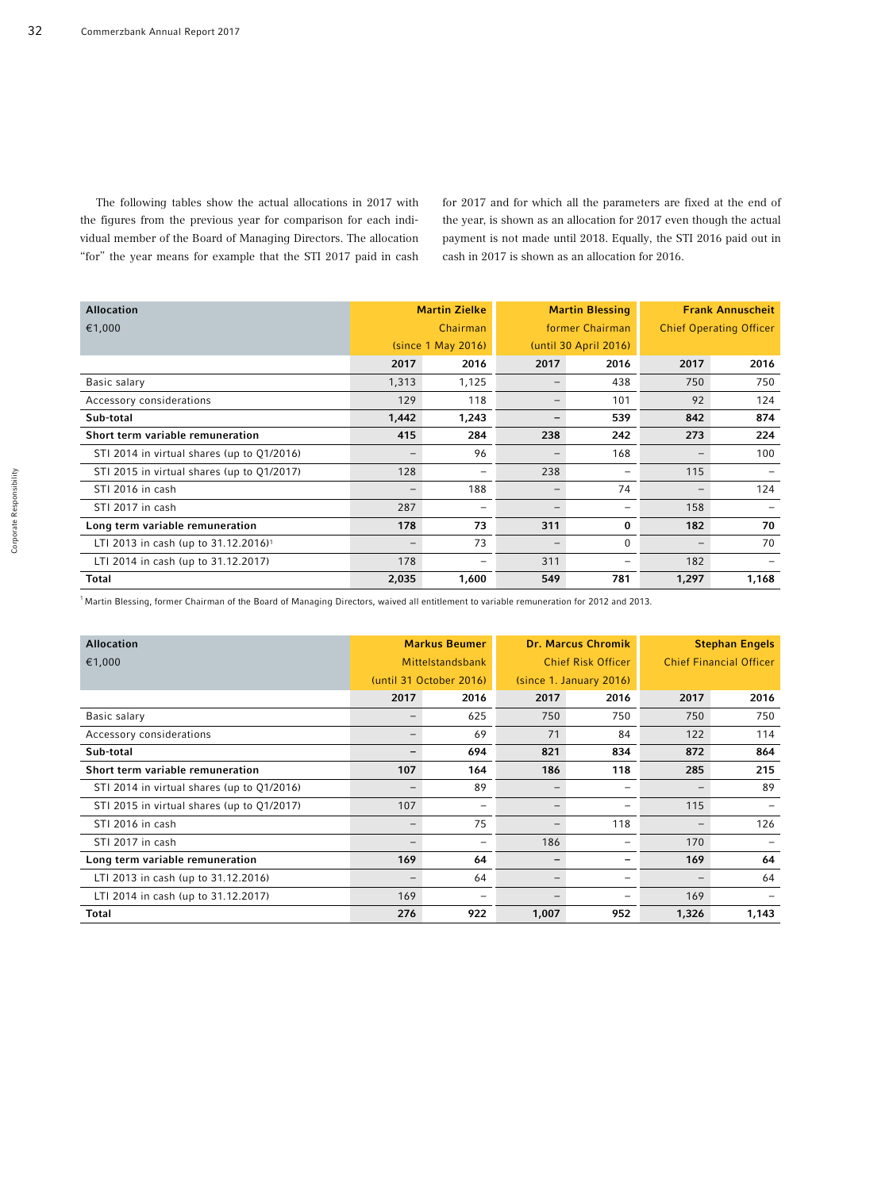The following tables show the actual allocations in 2017 with the figures from the previous year for comparison for each individual member of the Board of Managing Directors. The allocation "for" the year means for example that the STI 2017 paid in cash

for 2017 and for which all the parameters are fixed at the end of the year, is shown as an allocation for 2017 even though the actual payment is not made until 2018. Equally, the STI 2016 paid out in cash in 2017 is shown as an allocation for 2016.

| <b>Allocation</b>                                |                   | <b>Martin Zielke</b> |                   | <b>Martin Blessing</b> | <b>Frank Annuscheit</b>        |       |
|--------------------------------------------------|-------------------|----------------------|-------------------|------------------------|--------------------------------|-------|
| €1,000                                           |                   | Chairman             | former Chairman   |                        | <b>Chief Operating Officer</b> |       |
|                                                  |                   | (since 1 May 2016)   |                   | (until 30 April 2016)  |                                |       |
|                                                  | 2017              | 2016                 | 2017              | 2016                   | 2017                           | 2016  |
| Basic salary                                     | 1,313             | 1,125                |                   | 438                    | 750                            | 750   |
| Accessory considerations                         | 129               | 118                  |                   | 101                    | 92                             | 124   |
| Sub-total                                        | 1,442             | 1,243                |                   | 539                    | 842                            | 874   |
| Short term variable remuneration                 | 415               | 284                  | 238               | 242                    | 273                            | 224   |
| STI 2014 in virtual shares (up to Q1/2016)       |                   | 96                   |                   | 168                    | $\qquad \qquad -$              | 100   |
| STI 2015 in virtual shares (up to Q1/2017)       | 128               |                      | 238               | -                      | 115                            |       |
| STI 2016 in cash                                 | $\qquad \qquad -$ | 188                  | $\qquad \qquad -$ | 74                     | $\qquad \qquad -$              | 124   |
| STI 2017 in cash                                 | 287               |                      |                   | -                      | 158                            |       |
| Long term variable remuneration                  | 178               | 73                   | 311               | 0                      | 182                            | 70    |
| LTI 2013 in cash (up to 31.12.2016) <sup>1</sup> |                   | 73                   |                   | $\mathbf 0$            | $\overline{\phantom{0}}$       | 70    |
| LTI 2014 in cash (up to 31.12.2017)              | 178               |                      | 311               | -                      | 182                            |       |
| <b>Total</b>                                     | 2,035             | 1,600                | 549               | 781                    | 1,297                          | 1,168 |

 $1$  Martin Blessing, former Chairman of the Board of Managing Directors, waived all entitlement to variable remuneration for 2012 and 2013.

| <b>Allocation</b>                          |                         | <b>Markus Beumer</b> |                          | <b>Dr. Marcus Chromik</b> | <b>Stephan Engels</b>          |       |
|--------------------------------------------|-------------------------|----------------------|--------------------------|---------------------------|--------------------------------|-------|
| €1,000                                     | Mittelstandsbank        |                      | Chief Risk Officer       |                           | <b>Chief Financial Officer</b> |       |
|                                            | (until 31 October 2016) |                      |                          | (since 1. January 2016)   |                                |       |
|                                            | 2017                    | 2016                 | 2017                     | 2016                      | 2017                           | 2016  |
| Basic salary                               |                         | 625                  | 750                      | 750                       | 750                            | 750   |
| Accessory considerations                   | -                       | 69                   | 71                       | 84                        | 122                            | 114   |
| Sub-total                                  |                         | 694                  | 821                      | 834                       | 872                            | 864   |
| Short term variable remuneration           | 107                     | 164                  | 186                      | 118                       | 285                            | 215   |
| STI 2014 in virtual shares (up to Q1/2016) |                         | 89                   |                          | -                         | $\overline{\phantom{0}}$       | 89    |
| STI 2015 in virtual shares (up to Q1/2017) | 107                     | $\qquad \qquad -$    | $\qquad \qquad -$        | $\overline{\phantom{0}}$  | 115                            |       |
| STI 2016 in cash                           |                         | 75                   |                          | 118                       | $\overline{\phantom{0}}$       | 126   |
| STI 2017 in cash                           |                         |                      | 186                      | $\overline{\phantom{0}}$  | 170                            |       |
| Long term variable remuneration            | 169                     | 64                   | -                        | ۰                         | 169                            | 64    |
| LTI 2013 in cash (up to 31.12.2016)        |                         | 64                   | $\overline{\phantom{0}}$ | -                         | $\overline{\phantom{m}}$       | 64    |
| LTI 2014 in cash (up to 31.12.2017)        | 169                     |                      | -                        |                           | 169                            |       |
| Total                                      | 276                     | 922                  | 1,007                    | 952                       | 1,326                          | 1,143 |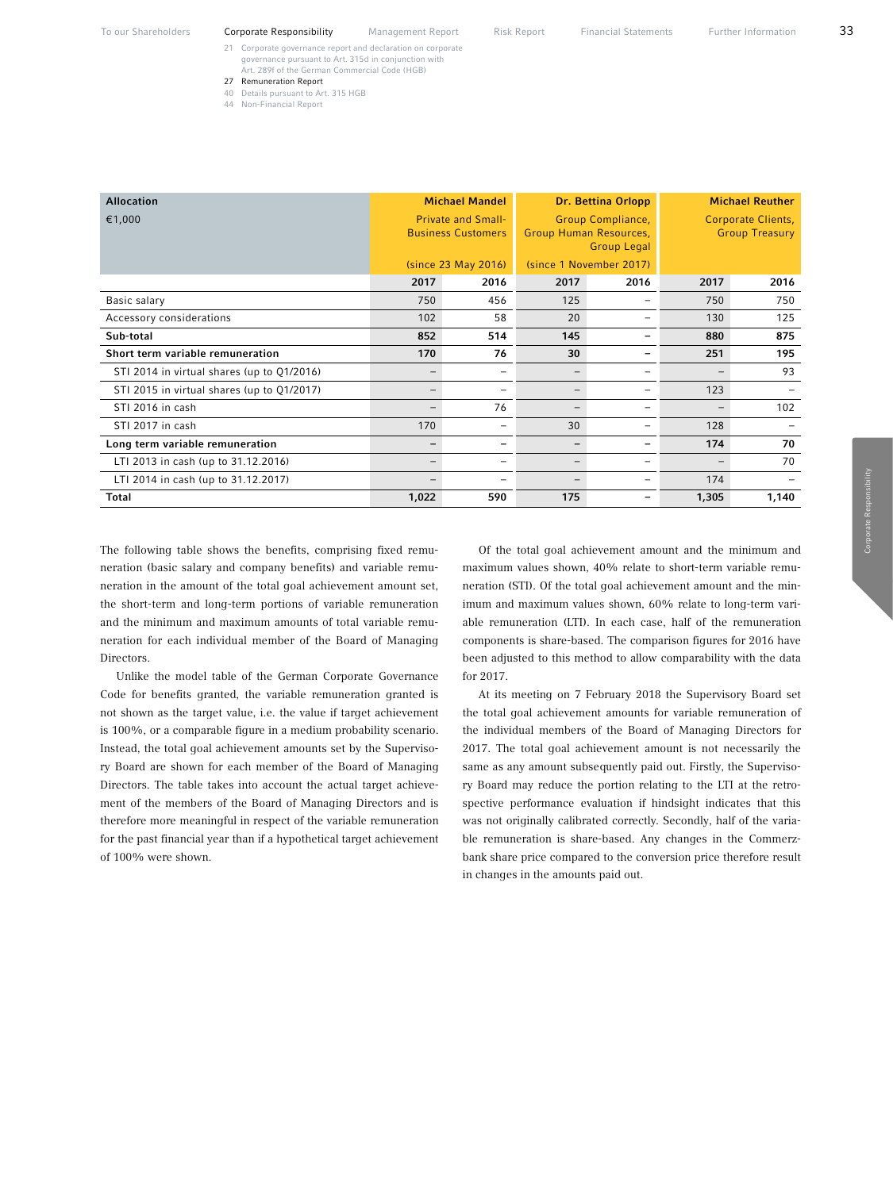- 
- 40 Details pursuant to Art. 315 HGB<br>44 Non-Financial Report 44 Non-Financial Report

| <b>Allocation</b>                          |                          | <b>Michael Mandel</b>     |                          | <b>Dr. Bettina Orlopp</b> | <b>Michael Reuther</b>   |                    |  |
|--------------------------------------------|--------------------------|---------------------------|--------------------------|---------------------------|--------------------------|--------------------|--|
| €1,000                                     |                          | <b>Private and Small-</b> |                          | Group Compliance,         |                          | Corporate Clients, |  |
|                                            |                          | <b>Business Customers</b> | Group Human Resources,   |                           | <b>Group Treasury</b>    |                    |  |
|                                            |                          | <b>Group Legal</b>        |                          |                           |                          |                    |  |
|                                            |                          | (since 23 May 2016)       |                          | (since 1 November 2017)   |                          |                    |  |
|                                            | 2017                     | 2016                      | 2017                     | 2016                      | 2017                     | 2016               |  |
| Basic salary                               | 750                      | 456                       | 125                      |                           | 750                      | 750                |  |
| Accessory considerations                   | 102                      | 58                        | 20                       |                           | 130                      | 125                |  |
| Sub-total                                  | 852                      | 514                       | 145                      |                           | 880                      | 875                |  |
| Short term variable remuneration           | 170                      | 76                        | 30                       |                           | 251                      | 195                |  |
| STI 2014 in virtual shares (up to Q1/2016) |                          | -                         |                          | ۰                         |                          | 93                 |  |
| STI 2015 in virtual shares (up to Q1/2017) |                          |                           |                          |                           | 123                      |                    |  |
| STI 2016 in cash                           | $\overline{\phantom{0}}$ | 76                        | $\qquad \qquad -$        | -                         | $\overline{\phantom{0}}$ | 102                |  |
| STI 2017 in cash                           | 170                      | -                         | 30                       |                           | 128                      |                    |  |
| Long term variable remuneration            |                          | $\overline{\phantom{0}}$  | $\overline{\phantom{0}}$ |                           | 174                      | 70                 |  |
| LTI 2013 in cash (up to 31.12.2016)        | $\qquad \qquad -$        | -                         | $\qquad \qquad -$        |                           | $\overline{\phantom{0}}$ | 70                 |  |
| LTI 2014 in cash (up to 31.12.2017)        |                          |                           |                          |                           | 174                      |                    |  |
| <b>Total</b>                               | 1,022                    | 590                       | 175                      |                           | 1,305                    | 1,140              |  |

The following table shows the benefits, comprising fixed remuneration (basic salary and company benefits) and variable remuneration in the amount of the total goal achievement amount set, the short-term and long-term portions of variable remuneration and the minimum and maximum amounts of total variable remuneration for each individual member of the Board of Managing Directors.

Unlike the model table of the German Corporate Governance Code for benefits granted, the variable remuneration granted is not shown as the target value, i.e. the value if target achievement is 100%, or a comparable figure in a medium probability scenario. Instead, the total goal achievement amounts set by the Supervisory Board are shown for each member of the Board of Managing Directors. The table takes into account the actual target achievement of the members of the Board of Managing Directors and is therefore more meaningful in respect of the variable remuneration for the past financial year than if a hypothetical target achievement of 100% were shown.

Of the total goal achievement amount and the minimum and maximum values shown, 40% relate to short-term variable remuneration (STI). Of the total goal achievement amount and the minimum and maximum values shown, 60% relate to long-term variable remuneration (LTI). In each case, half of the remuneration components is share-based. The comparison figures for 2016 have been adjusted to this method to allow comparability with the data for 2017.

At its meeting on 7 February 2018 the Supervisory Board set the total goal achievement amounts for variable remuneration of the individual members of the Board of Managing Directors for 2017. The total goal achievement amount is not necessarily the same as any amount subsequently paid out. Firstly, the Supervisory Board may reduce the portion relating to the LTI at the retrospective performance evaluation if hindsight indicates that this was not originally calibrated correctly. Secondly, half of the variable remuneration is share-based. Any changes in the Commerzbank share price compared to the conversion price therefore result in changes in the amounts paid out.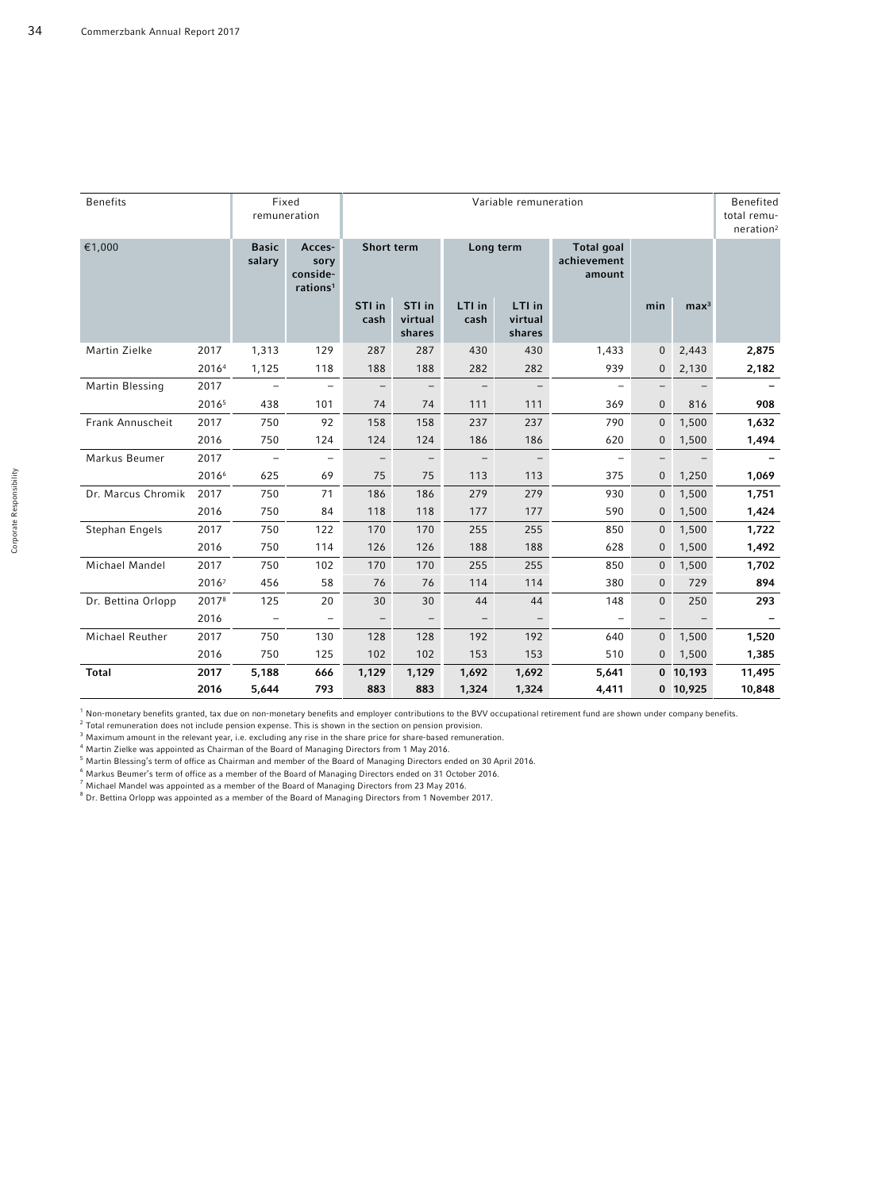| <b>Benefits</b>    |       |                          | Fixed<br>remuneration                                                        |                          | Variable remuneration       |                          |                             |                                     |                          |                          |        |
|--------------------|-------|--------------------------|------------------------------------------------------------------------------|--------------------------|-----------------------------|--------------------------|-----------------------------|-------------------------------------|--------------------------|--------------------------|--------|
| €1,000             |       |                          | <b>Basic</b><br>Acces-<br>salary<br>sory<br>conside-<br>rations <sup>1</sup> |                          | Short term                  |                          | Long term                   | Total goal<br>achievement<br>amount |                          |                          |        |
|                    |       |                          |                                                                              | STI in<br>cash           | STI in<br>virtual<br>shares | LTI in<br>cash           | LTI in<br>virtual<br>shares |                                     | min                      | $\text{max}^3$           |        |
| Martin Zielke      | 2017  | 1,313                    | 129                                                                          | 287                      | 287                         | 430                      | 430                         | 1,433                               | $\mathbf{0}$             | 2,443                    | 2,875  |
|                    | 20164 | 1,125                    | 118                                                                          | 188                      | 188                         | 282                      | 282                         | 939                                 | 0                        | 2,130                    | 2,182  |
| Martin Blessing    | 2017  | $\overline{\phantom{a}}$ | $\overline{\phantom{m}}$                                                     | $\overline{\phantom{m}}$ | $\overline{\phantom{a}}$    | $\overline{\phantom{m}}$ | $\overline{\phantom{m}}$    | $\overline{\phantom{a}}$            | -                        | $\overline{\phantom{m}}$ |        |
|                    | 20165 | 438                      | 101                                                                          | 74                       | 74                          | 111                      | 111                         | 369                                 | $\mathbf{0}$             | 816                      | 908    |
| Frank Annuscheit   | 2017  | 750                      | 92                                                                           | 158                      | 158                         | 237                      | 237                         | 790                                 | $\mathbf 0$              | 1,500                    | 1,632  |
|                    | 2016  | 750                      | 124                                                                          | 124                      | 124                         | 186                      | 186                         | 620                                 | 0                        | 1,500                    | 1,494  |
| Markus Beumer      | 2017  | $\equiv$                 | $\overline{\phantom{m}}$                                                     | $\overline{\phantom{m}}$ | $\overline{\phantom{a}}$    | $\qquad \qquad -$        | $\overline{\phantom{a}}$    | $\overline{\phantom{m}}$            | $\overline{\phantom{0}}$ |                          |        |
|                    | 20166 | 625                      | 69                                                                           | 75                       | 75                          | 113                      | 113                         | 375                                 | $\mathbf{0}$             | 1,250                    | 1,069  |
| Dr. Marcus Chromik | 2017  | 750                      | 71                                                                           | 186                      | 186                         | 279                      | 279                         | 930                                 | $\mathbf{0}$             | 1,500                    | 1,751  |
|                    | 2016  | 750                      | 84                                                                           | 118                      | 118                         | 177                      | 177                         | 590                                 | 0                        | 1,500                    | 1,424  |
| Stephan Engels     | 2017  | 750                      | 122                                                                          | 170                      | 170                         | 255                      | 255                         | 850                                 | $\overline{0}$           | 1,500                    | 1,722  |
|                    | 2016  | 750                      | 114                                                                          | 126                      | 126                         | 188                      | 188                         | 628                                 | 0                        | 1,500                    | 1,492  |
| Michael Mandel     | 2017  | 750                      | 102                                                                          | 170                      | 170                         | 255                      | 255                         | 850                                 | $\mathbf{0}$             | 1,500                    | 1,702  |
|                    | 20167 | 456                      | 58                                                                           | 76                       | 76                          | 114                      | 114                         | 380                                 | $\overline{0}$           | 729                      | 894    |
| Dr. Bettina Orlopp | 20178 | 125                      | 20                                                                           | 30                       | 30                          | 44                       | 44                          | 148                                 | $\Omega$                 | 250                      | 293    |
|                    | 2016  | $\overline{\phantom{a}}$ | $\overline{\phantom{m}}$                                                     | $\overline{\phantom{a}}$ | $\overline{\phantom{a}}$    | $\overline{\phantom{0}}$ | $\overline{\phantom{m}}$    | $\overline{\phantom{m}}$            | $\qquad \qquad -$        |                          |        |
| Michael Reuther    | 2017  | 750                      | 130                                                                          | 128                      | 128                         | 192                      | 192                         | 640                                 | $\mathbf{0}$             | 1,500                    | 1,520  |
|                    | 2016  | 750                      | 125                                                                          | 102                      | 102                         | 153                      | 153                         | 510                                 | $\overline{0}$           | 1,500                    | 1,385  |
| <b>Total</b>       | 2017  | 5,188                    | 666                                                                          | 1,129                    | 1,129                       | 1,692                    | 1,692                       | 5,641                               |                          | $0$ 10,193               | 11,495 |
|                    | 2016  | 5,644                    | 793                                                                          | 883                      | 883                         | 1,324                    | 1,324                       | 4,411                               |                          | $0$ 10,925               | 10,848 |

<sup>1</sup> Non-monetary benefits granted, tax due on non-monetary benefits and employer contributions to the BVV occupational retirement fund are shown under company benefits.

<sup>2</sup>Total remuneration does not include pension expense. This is shown in the section on pension provision.

 $3$  Maximum amount in the relevant year, i.e. excluding any rise in the share price for share-based remuneration.

4 Martin Zielke was appointed as Chairman of the Board of Managing Directors from 1 May 2016.

 $^5$  Martin Blessing's term of office as Chairman and member of the Board of Managing Directors ended on 30 April 2016.

6 Markus Beumer's term of office as a member of the Board of Managing Directors ended on 31 October 2016.

 $^7$  Michael Mandel was appointed as a member of the Board of Managing Directors from 23 May 2016.

<sup>8</sup> Dr. Bettina Orlopp was appointed as a member of the Board of Managing Directors from 1 November 2017.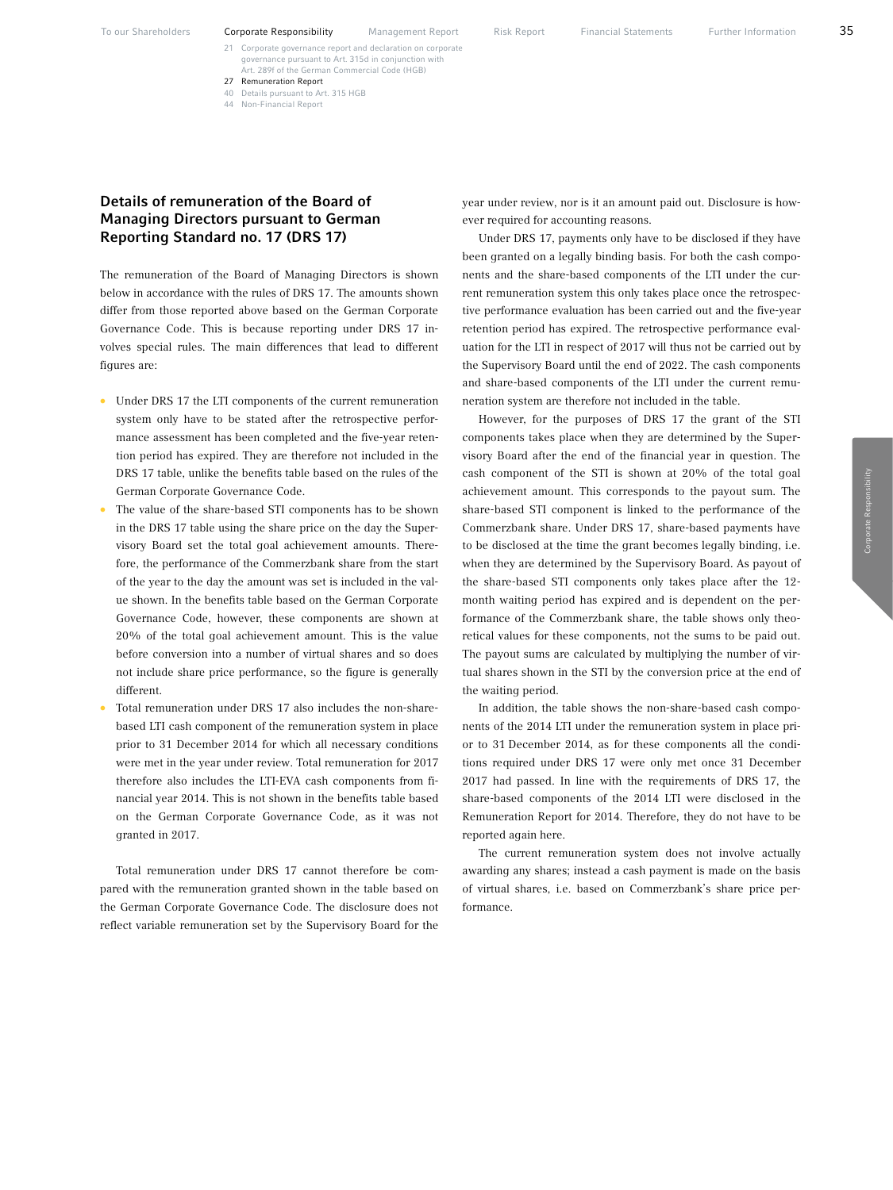- 21 Corporate governance report and declaration on corporate governance pursuant to Art. 315d in conjunct Art. 289f of the German Commercial Code (HGB)
- 27 Remuneration Report 40 Details pursuant to Art. 315 HGB
- 44 Non-Financial Report

# Details of remuneration of the Board of Managing Directors pursuant to German Reporting Standard no. 17 (DRS 17)

The remuneration of the Board of Managing Directors is shown below in accordance with the rules of DRS 17. The amounts shown differ from those reported above based on the German Corporate Governance Code. This is because reporting under DRS 17 involves special rules. The main differences that lead to different figures are:

- Under DRS 17 the LTI components of the current remuneration system only have to be stated after the retrospective performance assessment has been completed and the five-year retention period has expired. They are therefore not included in the DRS 17 table, unlike the benefits table based on the rules of the German Corporate Governance Code.
- The value of the share-based STI components has to be shown in the DRS 17 table using the share price on the day the Supervisory Board set the total goal achievement amounts. Therefore, the performance of the Commerzbank share from the start of the year to the day the amount was set is included in the value shown. In the benefits table based on the German Corporate Governance Code, however, these components are shown at 20% of the total goal achievement amount. This is the value before conversion into a number of virtual shares and so does not include share price performance, so the figure is generally different.
- Total remuneration under DRS 17 also includes the non-sharebased LTI cash component of the remuneration system in place prior to 31 December 2014 for which all necessary conditions were met in the year under review. Total remuneration for 2017 therefore also includes the LTI-EVA cash components from financial year 2014. This is not shown in the benefits table based on the German Corporate Governance Code, as it was not granted in 2017.

Total remuneration under DRS 17 cannot therefore be compared with the remuneration granted shown in the table based on the German Corporate Governance Code. The disclosure does not reflect variable remuneration set by the Supervisory Board for the year under review, nor is it an amount paid out. Disclosure is however required for accounting reasons.

Under DRS 17, payments only have to be disclosed if they have been granted on a legally binding basis. For both the cash components and the share-based components of the LTI under the current remuneration system this only takes place once the retrospective performance evaluation has been carried out and the five-year retention period has expired. The retrospective performance evaluation for the LTI in respect of 2017 will thus not be carried out by the Supervisory Board until the end of 2022. The cash components and share-based components of the LTI under the current remuneration system are therefore not included in the table.

However, for the purposes of DRS 17 the grant of the STI components takes place when they are determined by the Supervisory Board after the end of the financial year in question. The cash component of the STI is shown at 20% of the total goal achievement amount. This corresponds to the payout sum. The share-based STI component is linked to the performance of the Commerzbank share. Under DRS 17, share-based payments have to be disclosed at the time the grant becomes legally binding, i.e. when they are determined by the Supervisory Board. As payout of the share-based STI components only takes place after the 12 month waiting period has expired and is dependent on the performance of the Commerzbank share, the table shows only theoretical values for these components, not the sums to be paid out. The payout sums are calculated by multiplying the number of virtual shares shown in the STI by the conversion price at the end of the waiting period.

In addition, the table shows the non-share-based cash components of the 2014 LTI under the remuneration system in place prior to 31 December 2014, as for these components all the conditions required under DRS 17 were only met once 31 December 2017 had passed. In line with the requirements of DRS 17, the share-based components of the 2014 LTI were disclosed in the Remuneration Report for 2014. Therefore, they do not have to be reported again here.

The current remuneration system does not involve actually awarding any shares; instead a cash payment is made on the basis of virtual shares, i.e. based on Commerzbank's share price performance.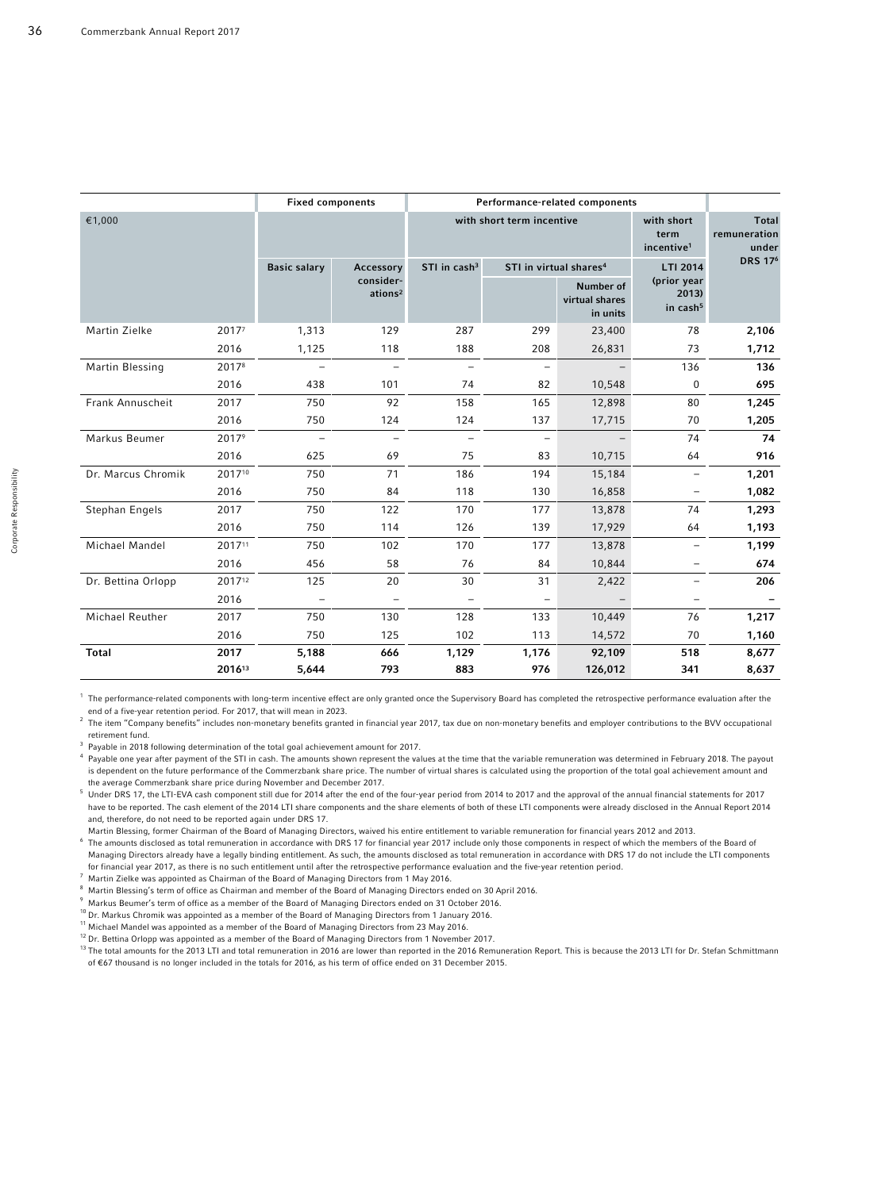|                    |        |                          | <b>Fixed components</b>          |                          | Performance-related components     |                                              |                                              |                           |  |  |
|--------------------|--------|--------------------------|----------------------------------|--------------------------|------------------------------------|----------------------------------------------|----------------------------------------------|---------------------------|--|--|
| €1,000             |        |                          |                                  |                          | with short term incentive          | with short<br>term<br>incentive <sup>1</sup> | <b>Total</b><br>remuneration<br>under        |                           |  |  |
|                    |        | <b>Basic salary</b>      | Accessory                        | STI in cash <sup>3</sup> | STI in virtual shares <sup>4</sup> |                                              | LTI 2014                                     | <b>DRS 17<sup>6</sup></b> |  |  |
|                    |        |                          | consider-<br>ations <sup>2</sup> |                          |                                    | Number of<br>virtual shares<br>in units      | (prior year<br>2013)<br>in cash <sup>5</sup> |                           |  |  |
| Martin Zielke      | 20177  | 1,313                    | 129                              | 287                      | 299                                | 23,400                                       | 78                                           | 2,106                     |  |  |
|                    | 2016   | 1,125                    | 118                              | 188                      | 208                                | 26,831                                       | 73                                           | 1,712                     |  |  |
| Martin Blessing    | 20178  | $\equiv$                 | $\overline{\phantom{0}}$         | $\overline{\phantom{m}}$ | $\overline{\phantom{m}}$           | $\qquad \qquad -$                            | 136                                          | 136                       |  |  |
|                    | 2016   | 438                      | 101                              | 74                       | 82                                 | 10,548                                       | $\mathbf 0$                                  | 695                       |  |  |
| Frank Annuscheit   | 2017   | 750                      | 92                               | 158                      | 165                                | 12,898                                       | 80                                           | 1,245                     |  |  |
|                    | 2016   | 750                      | 124                              | 124                      | 137                                | 17,715                                       | 70                                           | 1,205                     |  |  |
| Markus Beumer      | 20179  | $\overline{\phantom{a}}$ | $\overline{\phantom{m}}$         | $\overline{\phantom{0}}$ | $\overline{\phantom{m}}$           |                                              | 74                                           | 74                        |  |  |
|                    | 2016   | 625                      | 69                               | 75                       | 83                                 | 10,715                                       | 64                                           | 916                       |  |  |
| Dr. Marcus Chromik | 201710 | 750                      | 71                               | 186                      | 194                                | 15,184                                       |                                              | 1,201                     |  |  |
|                    | 2016   | 750                      | 84                               | 118                      | 130                                | 16,858                                       |                                              | 1,082                     |  |  |
| Stephan Engels     | 2017   | 750                      | 122                              | 170                      | 177                                | 13,878                                       | 74                                           | 1,293                     |  |  |
|                    | 2016   | 750                      | 114                              | 126                      | 139                                | 17,929                                       | 64                                           | 1,193                     |  |  |
| Michael Mandel     | 201711 | 750                      | 102                              | 170                      | 177                                | 13,878                                       |                                              | 1,199                     |  |  |
|                    | 2016   | 456                      | 58                               | 76                       | 84                                 | 10,844                                       |                                              | 674                       |  |  |
| Dr. Bettina Orlopp | 201712 | 125                      | 20                               | 30                       | 31                                 | 2,422                                        |                                              | 206                       |  |  |
|                    | 2016   |                          | $\overline{\phantom{m}}$         |                          |                                    |                                              |                                              |                           |  |  |
| Michael Reuther    | 2017   | 750                      | 130                              | 128                      | 133                                | 10,449                                       | 76                                           | 1,217                     |  |  |
|                    | 2016   | 750                      | 125                              | 102                      | 113                                | 14,572                                       | 70                                           | 1,160                     |  |  |
| <b>Total</b>       | 2017   | 5,188                    | 666                              | 1,129                    | 1,176                              | 92,109                                       | 518                                          | 8,677                     |  |  |
|                    | 201613 | 5,644                    | 793                              | 883                      | 976                                | 126,012                                      | 341                                          | 8,637                     |  |  |

<sup>1</sup> The performance-related components with long-term incentive effect are only granted once the Supervisory Board has completed the retrospective performance evaluation after the end of a five-year retention period. For 2017, that will mean in 2023.

<sup>2</sup> The item "Company benefits" includes non-monetary benefits granted in financial year 2017, tax due on non-monetary benefits and employer contributions to the BVV occupational retirement fund.

 $3$  Payable in 2018 following determination of the total goal achievement amount for 2017.

Payable one year after payment of the STI in cash. The amounts shown represent the values at the time that the variable remuneration was determined in February 2018. The payout is dependent on the future performance of the Commerzbank share price. The number of virtual shares is calculated using the proportion of the total goal achievement amount and the average Commerzbank share price during November and December 2017.

<sup>5</sup> Under DRS 17, the LTI-EVA cash component still due for 2014 after the end of the four-year period from 2014 to 2017 and the approval of the annual financial statements for 2017 have to be reported. The cash element of the 2014 LTI share components and the share elements of both of these LTI components were already disclosed in the Annual Report 2014 and, therefore, do not need to be reported again under DRS 17.

Martin Blessing, former Chairman of the Board of Managing Directors, waived his entire entitlement to variable remuneration for financial years 2012 and 2013.

<sup>6</sup>The amounts disclosed as total remuneration in accordance with DRS 17 for financial year 2017 include only those components in respect of which the members of the Board of Managing Directors already have a legally binding entitlement. As such, the amounts disclosed as total remuneration in accordance with DRS 17 do not include the LTI components for financial year 2017, as there is no such entitlement until after the retrospective performance evaluation and the five-year retention period.

<sup>7</sup>Martin Zielke was appointed as Chairman of the Board of Managing Directors from 1 May 2016.

- <sup>8</sup>Martin Blessing's term of office as Chairman and member of the Board of Managing Directors ended on 30 April 2016.
- Markus Beumer's term of office as a member of the Board of Managing Directors ended on 31 October 2016.
- $^{\text{\tiny D}}$  Dr. Markus Chromik was appointed as a member of the Board of Managing Directors from 1 January 2016.
- <sup>11</sup>Michael Mandel was appointed as a member of the Board of Managing Directors from 23 May 2016.
- <sup>12</sup> Dr. Bettina Orlopp was appointed as a member of the Board of Managing Directors from 1 November 2017.

13The total amounts for the 2013 LTI and total remuneration in 2016 are lower than reported in the 2016 Remuneration Report. This is because the 2013 LTI for Dr. Stefan Schmittmann of ř67 thousand is no longer included in the totals for 2016, as his term of office ended on 31 December 2015.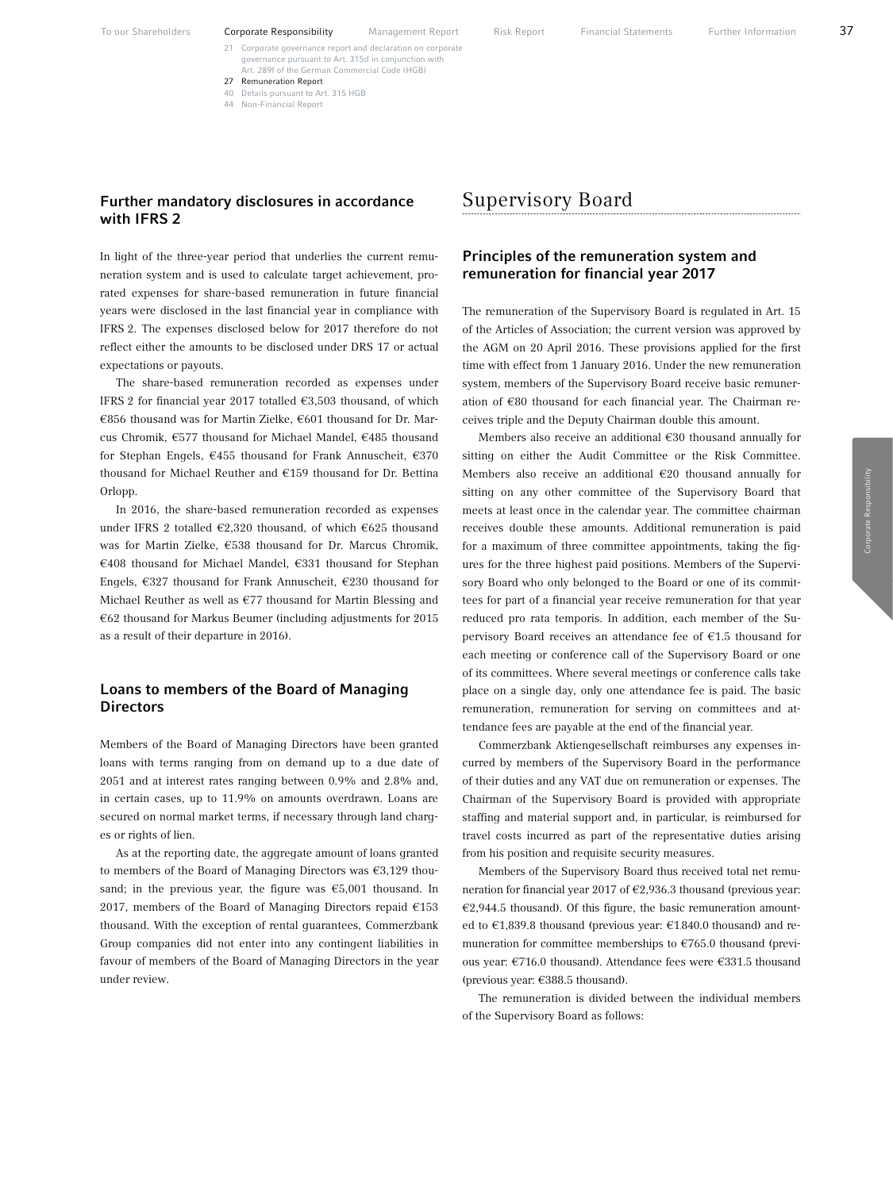21 Corporate governance report and declaration on corporate governance pursuant to Art. 315d in conjunct Art. 289f of the German Commercial Code (HGB) 27 Remuneration Report

- 40 Details pursuant to Art. 315 HGB
- 44 Non-Financial Report

#### Further mandatory disclosures in accordance with IFRS 2

In light of the three-year period that underlies the current remuneration system and is used to calculate target achievement, prorated expenses for share-based remuneration in future financial years were disclosed in the last financial year in compliance with IFRS 2. The expenses disclosed below for 2017 therefore do not reflect either the amounts to be disclosed under DRS 17 or actual expectations or payouts.

The share-based remuneration recorded as expenses under IFRS 2 for financial year 2017 totalled  $\epsilon$ 3,503 thousand, of which €856 thousand was for Martin Zielke, €601 thousand for Dr. Marcus Chromik, €577 thousand for Michael Mandel, €485 thousand for Stephan Engels,  $€455$  thousand for Frank Annuscheit,  $€370$ thousand for Michael Reuther and  $E$ 159 thousand for Dr. Bettina Orlopp.

In 2016, the share-based remuneration recorded as expenses under IFRS 2 totalled  $E2,320$  thousand, of which  $E625$  thousand was for Martin Zielke,  $\epsilon$ 538 thousand for Dr. Marcus Chromik, €408 thousand for Michael Mandel, €331 thousand for Stephan Engels,  $\epsilon$ 327 thousand for Frank Annuscheit,  $\epsilon$ 230 thousand for Michael Reuther as well as  $E$ 77 thousand for Martin Blessing and  $€62$  thousand for Markus Beumer (including adjustments for 2015 as a result of their departure in 2016).

#### Loans to members of the Board of Managing **Directors**

Members of the Board of Managing Directors have been granted loans with terms ranging from on demand up to a due date of 2051 and at interest rates ranging between 0.9% and 2.8% and, in certain cases, up to 11.9% on amounts overdrawn. Loans are secured on normal market terms, if necessary through land charges or rights of lien.

As at the reporting date, the aggregate amount of loans granted to members of the Board of Managing Directors was  $\epsilon$ 3,129 thousand; in the previous year, the figure was  $\epsilon$ 5,001 thousand. In 2017, members of the Board of Managing Directors repaid  $E$ 153 thousand. With the exception of rental guarantees, Commerzbank Group companies did not enter into any contingent liabilities in favour of members of the Board of Managing Directors in the year under review.

# Supervisory Board

# Principles of the remuneration system and remuneration for financial year 2017

The remuneration of the Supervisory Board is regulated in Art. 15 of the Articles of Association; the current version was approved by the AGM on 20 April 2016. These provisions applied for the first time with effect from 1 January 2016. Under the new remuneration system, members of the Supervisory Board receive basic remuneration of  $€80$  thousand for each financial year. The Chairman receives triple and the Deputy Chairman double this amount.

Members also receive an additional  $E30$  thousand annually for sitting on either the Audit Committee or the Risk Committee. Members also receive an additional  $E20$  thousand annually for sitting on any other committee of the Supervisory Board that meets at least once in the calendar year. The committee chairman receives double these amounts. Additional remuneration is paid for a maximum of three committee appointments, taking the figures for the three highest paid positions. Members of the Supervisory Board who only belonged to the Board or one of its committees for part of a financial year receive remuneration for that year reduced pro rata temporis. In addition, each member of the Supervisory Board receives an attendance fee of  $E$ 1.5 thousand for each meeting or conference call of the Supervisory Board or one of its committees. Where several meetings or conference calls take place on a single day, only one attendance fee is paid. The basic remuneration, remuneration for serving on committees and attendance fees are payable at the end of the financial year.

Commerzbank Aktiengesellschaft reimburses any expenses incurred by members of the Supervisory Board in the performance of their duties and any VAT due on remuneration or expenses. The Chairman of the Supervisory Board is provided with appropriate staffing and material support and, in particular, is reimbursed for travel costs incurred as part of the representative duties arising from his position and requisite security measures.

Members of the Supervisory Board thus received total net remuneration for financial year 2017 of  $\epsilon$ 2,936.3 thousand (previous year:  $€2,944.5$  thousand). Of this figure, the basic remuneration amounted to  $\epsilon$ 1,839.8 thousand (previous year:  $\epsilon$ 1,840.0 thousand) and remuneration for committee memberships to  $E$ 765.0 thousand (previous year:  $\epsilon$ 716.0 thousand). Attendance fees were  $\epsilon$ 331.5 thousand (previous year:  $€388.5$  thousand).

The remuneration is divided between the individual members of the Supervisory Board as follows: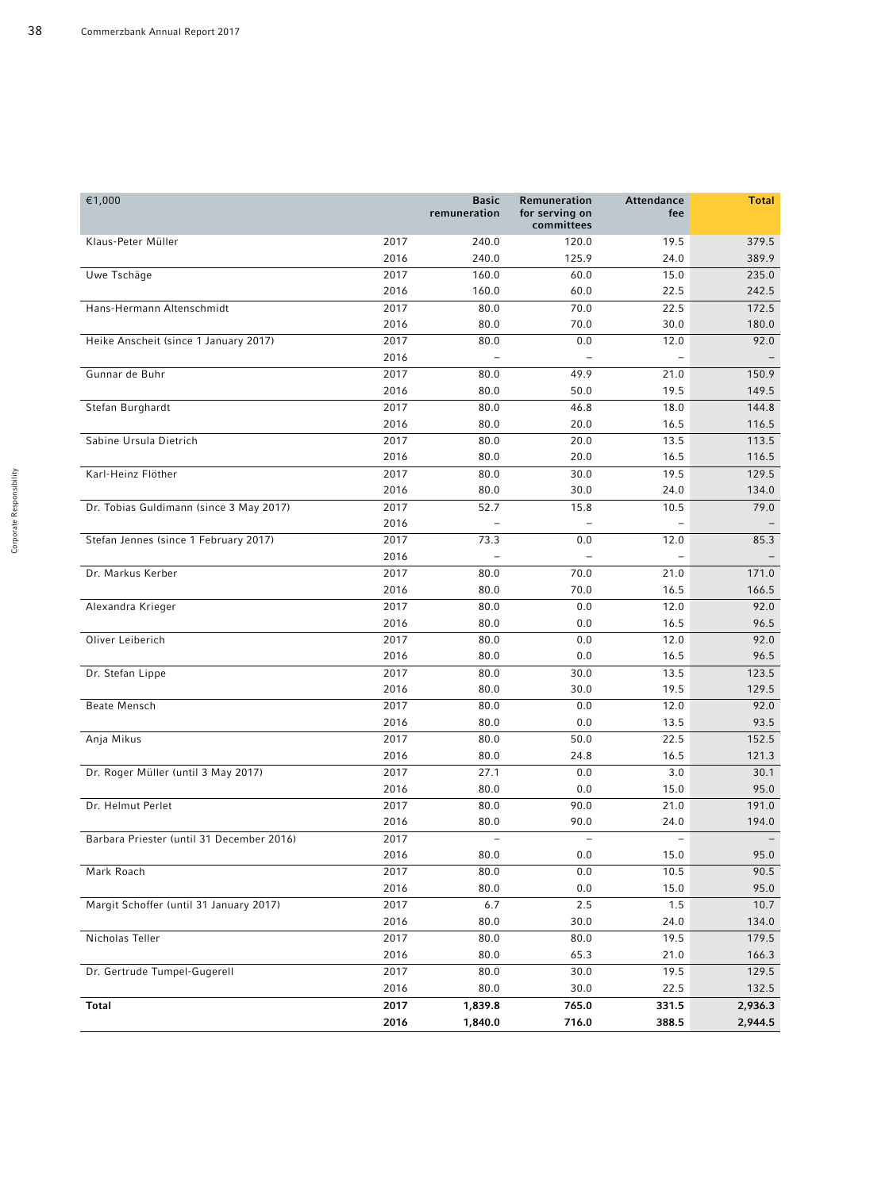| €1,000                                    |      | <b>Basic</b><br>remuneration | Remuneration<br>for serving on<br>committees | Attendance<br>fee | <b>Total</b> |
|-------------------------------------------|------|------------------------------|----------------------------------------------|-------------------|--------------|
| Klaus-Peter Müller                        | 2017 | 240.0                        | 120.0                                        | 19.5              | 379.5        |
|                                           | 2016 | 240.0                        | 125.9                                        | 24.0              | 389.9        |
| Uwe Tschäge                               | 2017 | 160.0                        | 60.0                                         | 15.0              | 235.0        |
|                                           | 2016 | 160.0                        | 60.0                                         | 22.5              | 242.5        |
| Hans-Hermann Altenschmidt                 | 2017 | 80.0                         | 70.0                                         | 22.5              | 172.5        |
|                                           | 2016 | 80.0                         | 70.0                                         | 30.0              | 180.0        |
| Heike Anscheit (since 1 January 2017)     | 2017 | 80.0                         | 0.0                                          | 12.0              | 92.0         |
|                                           | 2016 | $\overline{\phantom{0}}$     |                                              |                   |              |
| Gunnar de Buhr                            | 2017 | 80.0                         | 49.9                                         | 21.0              | 150.9        |
|                                           | 2016 | 80.0                         | 50.0                                         | 19.5              | 149.5        |
| Stefan Burghardt                          | 2017 | 80.0                         | 46.8                                         | 18.0              | 144.8        |
|                                           | 2016 | 80.0                         | 20.0                                         | 16.5              | 116.5        |
| Sabine Ursula Dietrich                    | 2017 | 80.0                         | 20.0                                         | 13.5              | 113.5        |
|                                           | 2016 | 80.0                         | 20.0                                         | 16.5              | 116.5        |
| Karl-Heinz Flöther                        | 2017 | 80.0                         | 30.0                                         | 19.5              | 129.5        |
|                                           | 2016 | 80.0                         | 30.0                                         | 24.0              | 134.0        |
| Dr. Tobias Guldimann (since 3 May 2017)   | 2017 | 52.7                         | 15.8                                         | 10.5              | 79.0         |
|                                           | 2016 | $\overline{\phantom{m}}$     | $\overline{\phantom{0}}$                     |                   |              |
| Stefan Jennes (since 1 February 2017)     | 2017 | 73.3                         | 0.0                                          | 12.0              | 85.3         |
|                                           | 2016 | $\overline{\phantom{0}}$     | $\overline{a}$                               |                   |              |
| Dr. Markus Kerber                         | 2017 | 80.0                         | 70.0                                         | 21.0              | 171.0        |
|                                           | 2016 | 80.0                         | 70.0                                         | 16.5              | 166.5        |
| Alexandra Krieger                         | 2017 | 80.0                         | 0.0                                          | 12.0              | 92.0         |
|                                           | 2016 | 80.0                         | 0.0                                          | 16.5              | 96.5         |
| Oliver Leiberich                          | 2017 | 80.0                         | 0.0                                          | 12.0              | 92.0         |
|                                           | 2016 | 80.0                         | 0.0                                          | 16.5              | 96.5         |
| Dr. Stefan Lippe                          | 2017 | 80.0                         | 30.0                                         | 13.5              | 123.5        |
|                                           | 2016 | 80.0                         | 30.0                                         | 19.5              | 129.5        |
| Beate Mensch                              | 2017 | 80.0                         | 0.0                                          | 12.0              | 92.0         |
|                                           | 2016 | 80.0                         | 0.0                                          | 13.5              | 93.5         |
| Anja Mikus                                | 2017 | 80.0                         | 50.0                                         | 22.5              | 152.5        |
|                                           | 2016 | 80.0                         | 24.8                                         | 16.5              | 121.3        |
| Dr. Roger Müller (until 3 May 2017)       | 2017 | 27.1                         | 0.0                                          | 3.0               | 30.1         |
|                                           | 2016 | 80.0                         | 0.0                                          | 15.0              | 95.0         |
| Dr. Helmut Perlet                         | 2017 | 80.0                         | 90.0                                         | 21.0              | 191.0        |
|                                           | 2016 | 80.0                         | 90.0                                         | 24.0              | 194.0        |
| Barbara Priester (until 31 December 2016) | 2017 | $\overline{\phantom{m}}$     | $\qquad \qquad -$                            | $\qquad \qquad -$ |              |
|                                           | 2016 | 80.0                         | 0.0                                          | 15.0              | 95.0         |
| Mark Roach                                | 2017 | 80.0                         | 0.0                                          | 10.5              | 90.5         |
|                                           | 2016 | 80.0                         | 0.0                                          | 15.0              | 95.0         |
| Margit Schoffer (until 31 January 2017)   | 2017 | 6.7                          | $2.5$                                        | 1.5               | 10.7         |
|                                           | 2016 | 80.0                         | 30.0                                         | 24.0              | 134.0        |
| Nicholas Teller                           | 2017 | 80.0                         | 80.0                                         | 19.5              | 179.5        |
|                                           | 2016 | 80.0                         | 65.3                                         | 21.0              | 166.3        |
| Dr. Gertrude Tumpel-Gugerell              | 2017 | 80.0                         | 30.0                                         | 19.5              | 129.5        |
|                                           | 2016 | 80.0                         | 30.0                                         | 22.5              | 132.5        |
| <b>Total</b>                              | 2017 | 1,839.8                      | 765.0                                        | 331.5             | 2,936.3      |
|                                           | 2016 | 1,840.0                      | 716.0                                        | 388.5             | 2,944.5      |